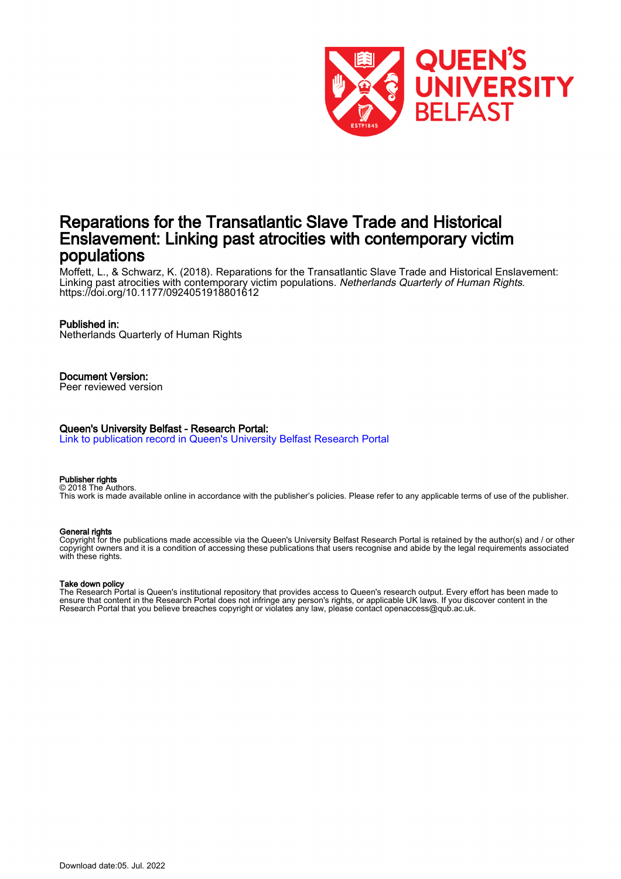

## Reparations for the Transatlantic Slave Trade and Historical Enslavement: Linking past atrocities with contemporary victim populations

Moffett, L., & Schwarz, K. (2018). Reparations for the Transatlantic Slave Trade and Historical Enslavement: Linking past atrocities with contemporary victim populations. Netherlands Quarterly of Human Rights. <https://doi.org/10.1177/0924051918801612>

#### Published in:

Netherlands Quarterly of Human Rights

#### Document Version:

Peer reviewed version

#### Queen's University Belfast - Research Portal:

[Link to publication record in Queen's University Belfast Research Portal](https://pure.qub.ac.uk/en/publications/57f85b3d-33a3-4a4c-9850-b72f501a8b6d)

#### Publisher rights © 2018 The Authors.

This work is made available online in accordance with the publisher's policies. Please refer to any applicable terms of use of the publisher.

#### General rights

Copyright for the publications made accessible via the Queen's University Belfast Research Portal is retained by the author(s) and / or other copyright owners and it is a condition of accessing these publications that users recognise and abide by the legal requirements associated with these rights.

#### Take down policy

The Research Portal is Queen's institutional repository that provides access to Queen's research output. Every effort has been made to ensure that content in the Research Portal does not infringe any person's rights, or applicable UK laws. If you discover content in the Research Portal that you believe breaches copyright or violates any law, please contact openaccess@qub.ac.uk.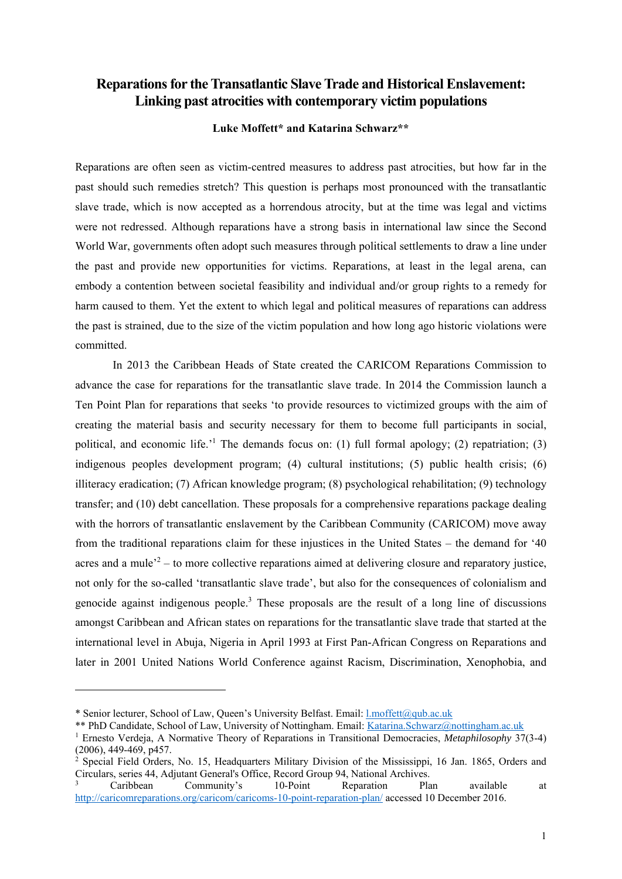## **Reparations for the Transatlantic Slave Trade and Historical Enslavement: Linking past atrocities with contemporary victim populations**

#### **Luke Moffett\* and Katarina Schwarz\*\***

Reparations are often seen as victim-centred measures to address past atrocities, but how far in the past should such remedies stretch? This question is perhaps most pronounced with the transatlantic slave trade, which is now accepted as a horrendous atrocity, but at the time was legal and victims were not redressed. Although reparations have a strong basis in international law since the Second World War, governments often adopt such measures through political settlements to draw a line under the past and provide new opportunities for victims. Reparations, at least in the legal arena, can embody a contention between societal feasibility and individual and/or group rights to a remedy for harm caused to them. Yet the extent to which legal and political measures of reparations can address the past is strained, due to the size of the victim population and how long ago historic violations were committed.

In 2013 the Caribbean Heads of State created the CARICOM Reparations Commission to advance the case for reparations for the transatlantic slave trade. In 2014 the Commission launch a Ten Point Plan for reparations that seeks 'to provide resources to victimized groups with the aim of creating the material basis and security necessary for them to become full participants in social, political, and economic life.<sup>1</sup> The demands focus on: (1) full formal apology; (2) repatriation; (3) indigenous peoples development program; (4) cultural institutions; (5) public health crisis; (6) illiteracy eradication; (7) African knowledge program; (8) psychological rehabilitation; (9) technology transfer; and (10) debt cancellation. These proposals for a comprehensive reparations package dealing with the horrors of transatlantic enslavement by the Caribbean Community (CARICOM) move away from the traditional reparations claim for these injustices in the United States – the demand for '40 acres and a mule<sup> $2$ </sup> – to more collective reparations aimed at delivering closure and reparatory justice, not only for the so-called 'transatlantic slave trade', but also for the consequences of colonialism and genocide against indigenous people.<sup>3</sup> These proposals are the result of a long line of discussions amongst Caribbean and African states on reparations for the transatlantic slave trade that started at the international level in Abuja, Nigeria in April 1993 at First Pan-African Congress on Reparations and later in 2001 United Nations World Conference against Racism, Discrimination, Xenophobia, and

<sup>\*</sup> Senior lecturer, School of Law, Queen's University Belfast. Email: l.moffett@qub.ac.uk

<sup>\*\*</sup> PhD Candidate, School of Law, University of Nottingham. Email: Katarina.Schwarz@nottingham.ac.uk 1

Ernesto Verdeja, A Normative Theory of Reparations in Transitional Democracies, *Metaphilosophy* 37(3-4) (2006), 449-469, p457.

<sup>2</sup> Special Field Orders, No. 15, Headquarters Military Division of the Mississippi, 16 Jan. 1865, Orders and Circulars, series 44, Adjutant General's Office, Record Group 94, National Archives.

<sup>3</sup> Caribbean Community's 10-Point Reparation Plan available at http://caricomreparations.org/caricom/caricoms-10-point-reparation-plan/ accessed 10 December 2016.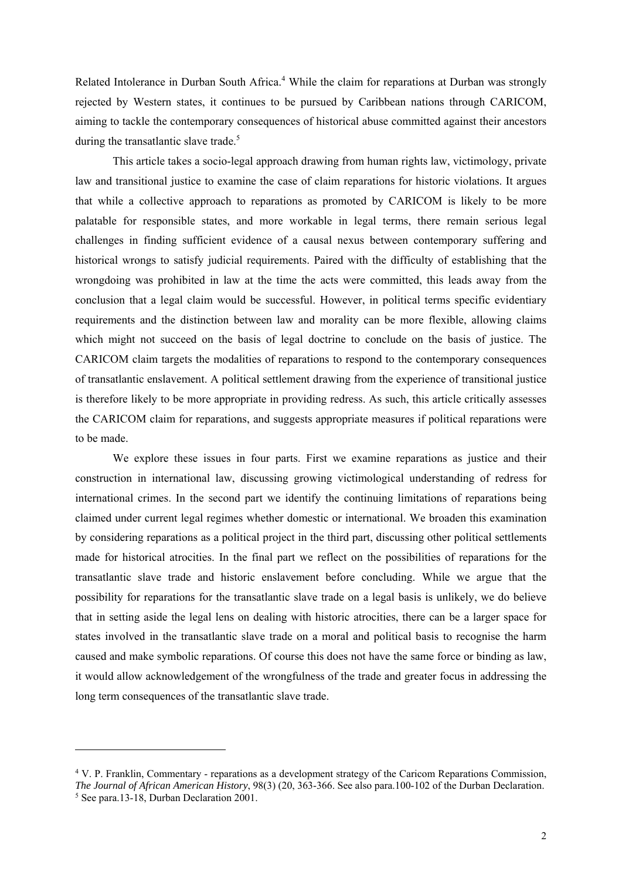Related Intolerance in Durban South Africa.<sup>4</sup> While the claim for reparations at Durban was strongly rejected by Western states, it continues to be pursued by Caribbean nations through CARICOM, aiming to tackle the contemporary consequences of historical abuse committed against their ancestors during the transatlantic slave trade.<sup>5</sup>

This article takes a socio-legal approach drawing from human rights law, victimology, private law and transitional justice to examine the case of claim reparations for historic violations. It argues that while a collective approach to reparations as promoted by CARICOM is likely to be more palatable for responsible states, and more workable in legal terms, there remain serious legal challenges in finding sufficient evidence of a causal nexus between contemporary suffering and historical wrongs to satisfy judicial requirements. Paired with the difficulty of establishing that the wrongdoing was prohibited in law at the time the acts were committed, this leads away from the conclusion that a legal claim would be successful. However, in political terms specific evidentiary requirements and the distinction between law and morality can be more flexible, allowing claims which might not succeed on the basis of legal doctrine to conclude on the basis of justice. The CARICOM claim targets the modalities of reparations to respond to the contemporary consequences of transatlantic enslavement. A political settlement drawing from the experience of transitional justice is therefore likely to be more appropriate in providing redress. As such, this article critically assesses the CARICOM claim for reparations, and suggests appropriate measures if political reparations were to be made.

We explore these issues in four parts. First we examine reparations as justice and their construction in international law, discussing growing victimological understanding of redress for international crimes. In the second part we identify the continuing limitations of reparations being claimed under current legal regimes whether domestic or international. We broaden this examination by considering reparations as a political project in the third part, discussing other political settlements made for historical atrocities. In the final part we reflect on the possibilities of reparations for the transatlantic slave trade and historic enslavement before concluding. While we argue that the possibility for reparations for the transatlantic slave trade on a legal basis is unlikely, we do believe that in setting aside the legal lens on dealing with historic atrocities, there can be a larger space for states involved in the transatlantic slave trade on a moral and political basis to recognise the harm caused and make symbolic reparations. Of course this does not have the same force or binding as law, it would allow acknowledgement of the wrongfulness of the trade and greater focus in addressing the long term consequences of the transatlantic slave trade.

<sup>&</sup>lt;sup>4</sup> V. P. Franklin, Commentary - reparations as a development strategy of the Caricom Reparations Commission, *The Journal of African American History*, 98(3) (20, 363-366. See also para.100-102 of the Durban Declaration. 5  $5$  See para.13-18, Durban Declaration 2001.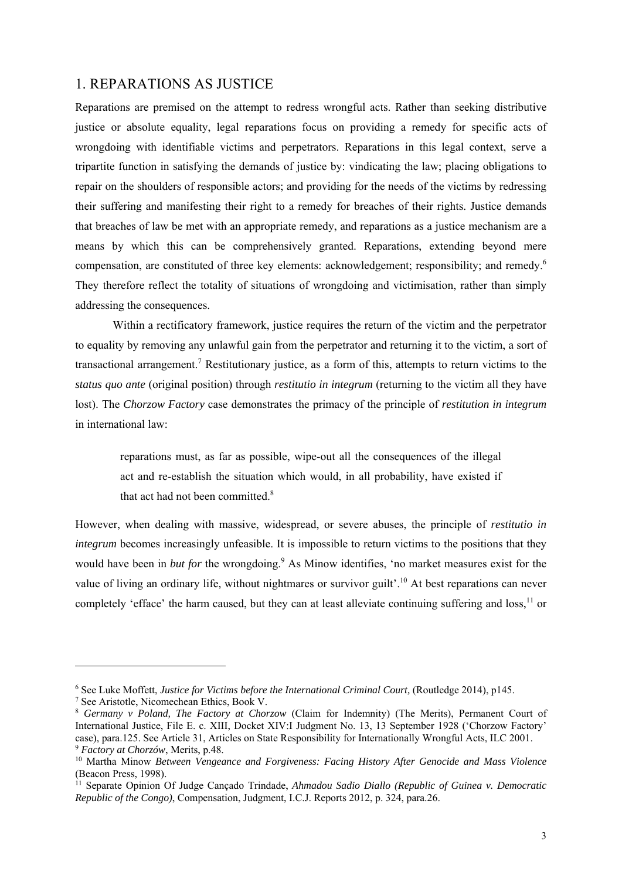### 1. REPARATIONS AS JUSTICE

Reparations are premised on the attempt to redress wrongful acts. Rather than seeking distributive justice or absolute equality, legal reparations focus on providing a remedy for specific acts of wrongdoing with identifiable victims and perpetrators. Reparations in this legal context, serve a tripartite function in satisfying the demands of justice by: vindicating the law; placing obligations to repair on the shoulders of responsible actors; and providing for the needs of the victims by redressing their suffering and manifesting their right to a remedy for breaches of their rights. Justice demands that breaches of law be met with an appropriate remedy, and reparations as a justice mechanism are a means by which this can be comprehensively granted. Reparations, extending beyond mere compensation, are constituted of three key elements: acknowledgement; responsibility; and remedy.<sup>6</sup> They therefore reflect the totality of situations of wrongdoing and victimisation, rather than simply addressing the consequences.

Within a rectificatory framework, justice requires the return of the victim and the perpetrator to equality by removing any unlawful gain from the perpetrator and returning it to the victim, a sort of transactional arrangement.<sup>7</sup> Restitutionary justice, as a form of this, attempts to return victims to the *status quo ante* (original position) through *restitutio in integrum* (returning to the victim all they have lost). The *Chorzow Factory* case demonstrates the primacy of the principle of *restitution in integrum*  in international law:

reparations must, as far as possible, wipe-out all the consequences of the illegal act and re-establish the situation which would, in all probability, have existed if that act had not been committed.<sup>8</sup>

However, when dealing with massive, widespread, or severe abuses, the principle of *restitutio in integrum* becomes increasingly unfeasible. It is impossible to return victims to the positions that they would have been in *but for* the wrongdoing.<sup>9</sup> As Minow identifies, 'no market measures exist for the value of living an ordinary life, without nightmares or survivor guilt'.<sup>10</sup> At best reparations can never completely 'efface' the harm caused, but they can at least alleviate continuing suffering and loss,  $\frac{11}{10}$  or

<sup>&</sup>lt;sup>6</sup> See Luke Moffett, *Justice for Victims before the International Criminal Court*, (Routledge 2014), p145. <sup>7</sup> See Aristotle, Nicomechean Ethics, Book V.

<sup>&</sup>lt;sup>7</sup> See Aristotle, Nicomechean Ethics, Book V.

<sup>8</sup> *Germany v Poland, The Factory at Chorzow* (Claim for Indemnity) (The Merits), Permanent Court of International Justice, File E. c. XIII, Docket XIV:I Judgment No. 13, 13 September 1928 ('Chorzow Factory' case), para.125. See Article 31, Articles on State Responsibility for Internationally Wrongful Acts, ILC 2001. <sup>9</sup> *Factory at Chorzów*, Merits, p.48.

<sup>10</sup> Martha Minow *Between Vengeance and Forgiveness: Facing History After Genocide and Mass Violence* (Beacon Press, 1998).

<sup>&</sup>lt;sup>11</sup> Separate Opinion Of Judge Cancado Trindade, *Ahmadou Sadio Diallo (Republic of Guinea v. Democratic Republic of the Congo)*, Compensation, Judgment, I.C.J. Reports 2012, p. 324, para.26.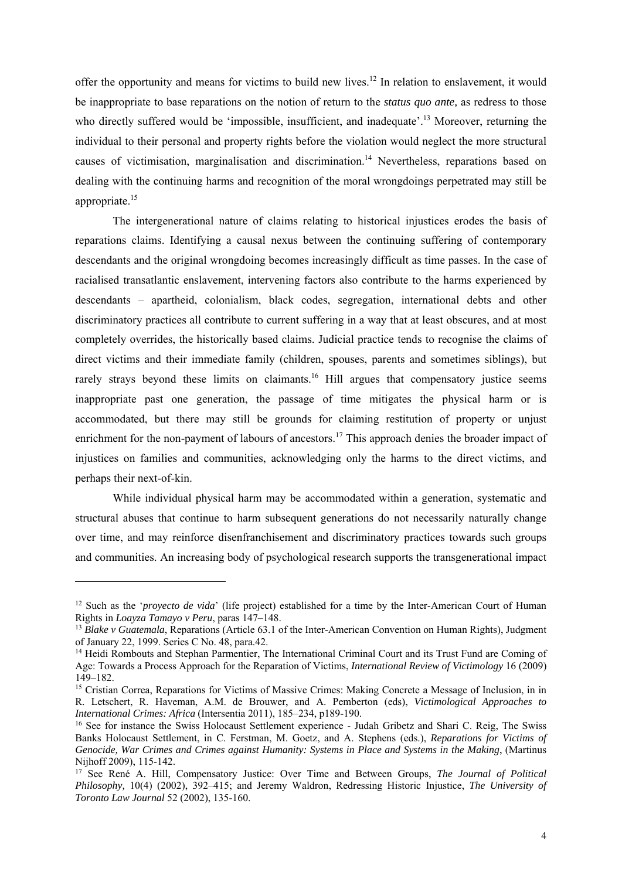offer the opportunity and means for victims to build new lives.<sup>12</sup> In relation to enslavement, it would be inappropriate to base reparations on the notion of return to the *status quo ante,* as redress to those who directly suffered would be 'impossible, insufficient, and inadequate'.<sup>13</sup> Moreover, returning the individual to their personal and property rights before the violation would neglect the more structural causes of victimisation, marginalisation and discrimination.<sup>14</sup> Nevertheless, reparations based on dealing with the continuing harms and recognition of the moral wrongdoings perpetrated may still be appropriate.15

The intergenerational nature of claims relating to historical injustices erodes the basis of reparations claims. Identifying a causal nexus between the continuing suffering of contemporary descendants and the original wrongdoing becomes increasingly difficult as time passes. In the case of racialised transatlantic enslavement, intervening factors also contribute to the harms experienced by descendants – apartheid, colonialism, black codes, segregation, international debts and other discriminatory practices all contribute to current suffering in a way that at least obscures, and at most completely overrides, the historically based claims. Judicial practice tends to recognise the claims of direct victims and their immediate family (children, spouses, parents and sometimes siblings), but rarely strays beyond these limits on claimants.<sup>16</sup> Hill argues that compensatory justice seems inappropriate past one generation, the passage of time mitigates the physical harm or is accommodated, but there may still be grounds for claiming restitution of property or unjust enrichment for the non-payment of labours of ancestors.<sup>17</sup> This approach denies the broader impact of injustices on families and communities, acknowledging only the harms to the direct victims, and perhaps their next-of-kin.

While individual physical harm may be accommodated within a generation, systematic and structural abuses that continue to harm subsequent generations do not necessarily naturally change over time, and may reinforce disenfranchisement and discriminatory practices towards such groups and communities. An increasing body of psychological research supports the transgenerational impact

-

<sup>&</sup>lt;sup>12</sup> Such as the '*proyecto de vida*' (life project) established for a time by the Inter-American Court of Human Rights in *Loayza Tamayo v Peru*, paras 147–148.

<sup>13</sup> *Blake v Guatemala*, Reparations (Article 63.1 of the Inter-American Convention on Human Rights), Judgment of January 22, 1999. Series C No. 48, para.42.

<sup>&</sup>lt;sup>14</sup> Heidi Rombouts and Stephan Parmentier, The International Criminal Court and its Trust Fund are Coming of Age: Towards a Process Approach for the Reparation of Victims, *International Review of Victimology* 16 (2009) 149–182.

<sup>&</sup>lt;sup>15</sup> Cristian Correa, Reparations for Victims of Massive Crimes: Making Concrete a Message of Inclusion, in in R. Letschert, R. Haveman, A.M. de Brouwer, and A. Pemberton (eds), *Victimological Approaches to International Crimes: Africa* (Intersentia 2011), 185–234, p189-190.

<sup>&</sup>lt;sup>16</sup> See for instance the Swiss Holocaust Settlement experience - Judah Gribetz and Shari C. Reig, The Swiss Banks Holocaust Settlement, in C. Ferstman, M. Goetz, and A. Stephens (eds.), *Reparations for Victims of Genocide, War Crimes and Crimes against Humanity: Systems in Place and Systems in the Making*, (Martinus Nijhoff 2009), 115-142.

<sup>17</sup> See René A. Hill, Compensatory Justice: Over Time and Between Groups, *The Journal of Political Philosophy,* 10(4) (2002), 392–415; and Jeremy Waldron, Redressing Historic Injustice, *The University of Toronto Law Journal* 52 (2002), 135-160.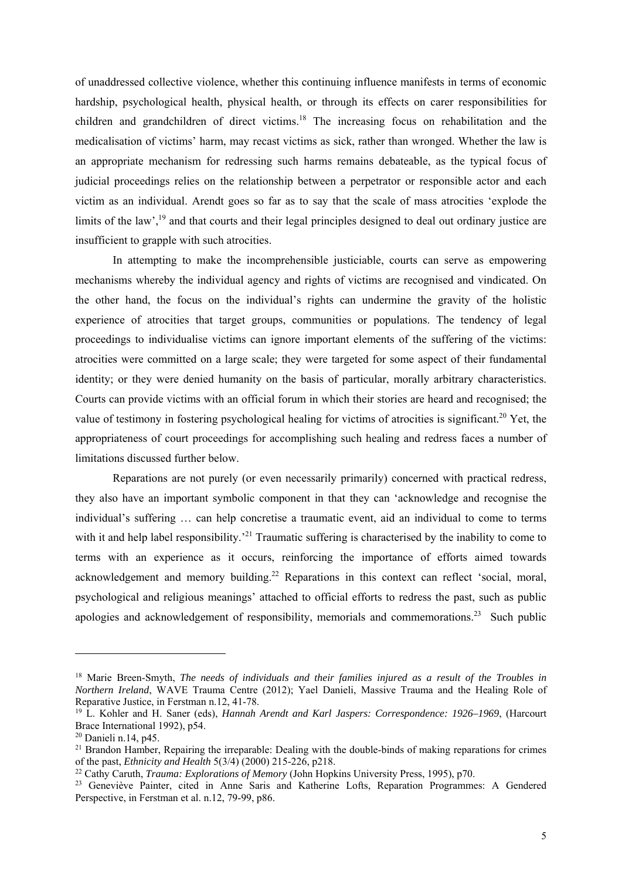of unaddressed collective violence, whether this continuing influence manifests in terms of economic hardship, psychological health, physical health, or through its effects on carer responsibilities for children and grandchildren of direct victims.<sup>18</sup> The increasing focus on rehabilitation and the medicalisation of victims' harm, may recast victims as sick, rather than wronged. Whether the law is an appropriate mechanism for redressing such harms remains debateable, as the typical focus of judicial proceedings relies on the relationship between a perpetrator or responsible actor and each victim as an individual. Arendt goes so far as to say that the scale of mass atrocities 'explode the limits of the law',<sup>19</sup> and that courts and their legal principles designed to deal out ordinary justice are insufficient to grapple with such atrocities.

In attempting to make the incomprehensible justiciable, courts can serve as empowering mechanisms whereby the individual agency and rights of victims are recognised and vindicated. On the other hand, the focus on the individual's rights can undermine the gravity of the holistic experience of atrocities that target groups, communities or populations. The tendency of legal proceedings to individualise victims can ignore important elements of the suffering of the victims: atrocities were committed on a large scale; they were targeted for some aspect of their fundamental identity; or they were denied humanity on the basis of particular, morally arbitrary characteristics. Courts can provide victims with an official forum in which their stories are heard and recognised; the value of testimony in fostering psychological healing for victims of atrocities is significant.<sup>20</sup> Yet, the appropriateness of court proceedings for accomplishing such healing and redress faces a number of limitations discussed further below.

Reparations are not purely (or even necessarily primarily) concerned with practical redress, they also have an important symbolic component in that they can 'acknowledge and recognise the individual's suffering … can help concretise a traumatic event, aid an individual to come to terms with it and help label responsibility.<sup>21</sup> Traumatic suffering is characterised by the inability to come to terms with an experience as it occurs, reinforcing the importance of efforts aimed towards acknowledgement and memory building.<sup>22</sup> Reparations in this context can reflect 'social, moral, psychological and religious meanings' attached to official efforts to redress the past, such as public apologies and acknowledgement of responsibility, memorials and commemorations.<sup>23</sup> Such public

<sup>18</sup> Marie Breen-Smyth, *The needs of individuals and their families injured as a result of the Troubles in Northern Ireland*, WAVE Trauma Centre (2012); Yael Danieli, Massive Trauma and the Healing Role of Reparative Justice, in Ferstman n.12, 41-78.

<sup>19</sup> L. Kohler and H. Saner (eds), *Hannah Arendt and Karl Jaspers: Correspondence: 1926–1969*, (Harcourt Brace International 1992), p54.

<sup>20</sup> Danieli n.14, p45.

<sup>&</sup>lt;sup>21</sup> Brandon Hamber, Repairing the irreparable: Dealing with the double-binds of making reparations for crimes of the past, *Ethnicity and Health* 5(3/4) (2000) 215-226, p218. 22 Cathy Caruth, *Trauma: Explorations of Memory* (John Hopkins University Press, 1995), p70.

<sup>23</sup> Geneviève Painter, cited in Anne Saris and Katherine Lofts, Reparation Programmes: A Gendered Perspective, in Ferstman et al. n.12, 79-99, p86.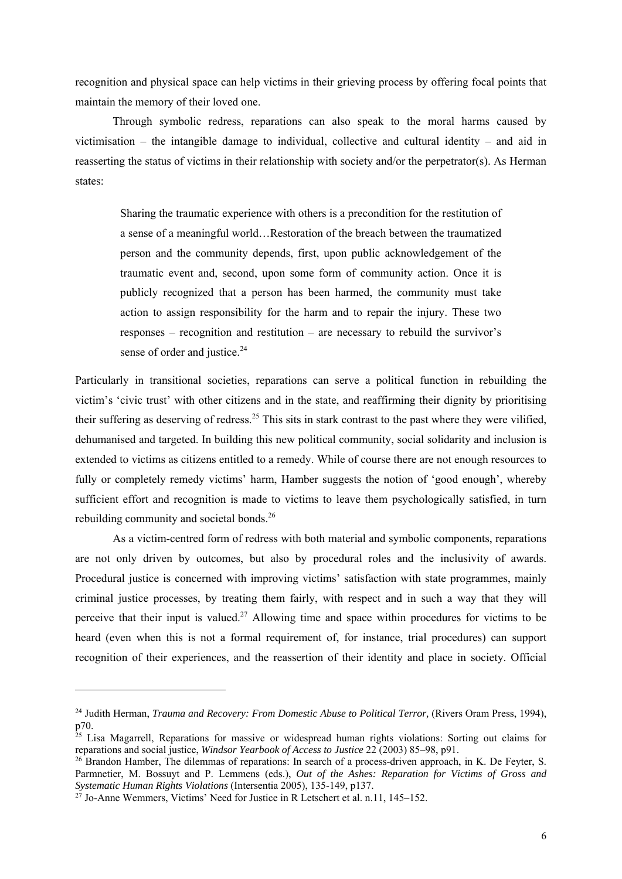recognition and physical space can help victims in their grieving process by offering focal points that maintain the memory of their loved one.

Through symbolic redress, reparations can also speak to the moral harms caused by victimisation – the intangible damage to individual, collective and cultural identity – and aid in reasserting the status of victims in their relationship with society and/or the perpetrator(s). As Herman states:

Sharing the traumatic experience with others is a precondition for the restitution of a sense of a meaningful world…Restoration of the breach between the traumatized person and the community depends, first, upon public acknowledgement of the traumatic event and, second, upon some form of community action. Once it is publicly recognized that a person has been harmed, the community must take action to assign responsibility for the harm and to repair the injury. These two responses – recognition and restitution – are necessary to rebuild the survivor's sense of order and justice.<sup>24</sup>

Particularly in transitional societies, reparations can serve a political function in rebuilding the victim's 'civic trust' with other citizens and in the state, and reaffirming their dignity by prioritising their suffering as deserving of redress.<sup>25</sup> This sits in stark contrast to the past where they were vilified, dehumanised and targeted. In building this new political community, social solidarity and inclusion is extended to victims as citizens entitled to a remedy. While of course there are not enough resources to fully or completely remedy victims' harm, Hamber suggests the notion of 'good enough', whereby sufficient effort and recognition is made to victims to leave them psychologically satisfied, in turn rebuilding community and societal bonds.<sup>26</sup>

As a victim-centred form of redress with both material and symbolic components, reparations are not only driven by outcomes, but also by procedural roles and the inclusivity of awards. Procedural justice is concerned with improving victims' satisfaction with state programmes, mainly criminal justice processes, by treating them fairly, with respect and in such a way that they will perceive that their input is valued.<sup>27</sup> Allowing time and space within procedures for victims to be heard (even when this is not a formal requirement of, for instance, trial procedures) can support recognition of their experiences, and the reassertion of their identity and place in society. Official

<sup>24</sup> Judith Herman, *Trauma and Recovery: From Domestic Abuse to Political Terror,* (Rivers Oram Press, 1994), p70.

<sup>&</sup>lt;sup>25</sup> Lisa Magarrell, Reparations for massive or widespread human rights violations: Sorting out claims for reparations and social justice, *Windsor Yearbook of Access to Justice* 22 (2003) 85–98, p91.

 $^{26}$  Brandon Hamber. The dilemmas of reparations: In search of a process-driven approach, in K. De Feyter, S. Parmnetier, M. Bossuyt and P. Lemmens (eds.), *Out of the Ashes: Reparation for Victims of Gross and Systematic Human Rights Violations* (Intersentia 2005), 135-149, p137.

 $^{27}$  Jo-Anne Wemmers, Victims' Need for Justice in R Letschert et al. n.11, 145–152.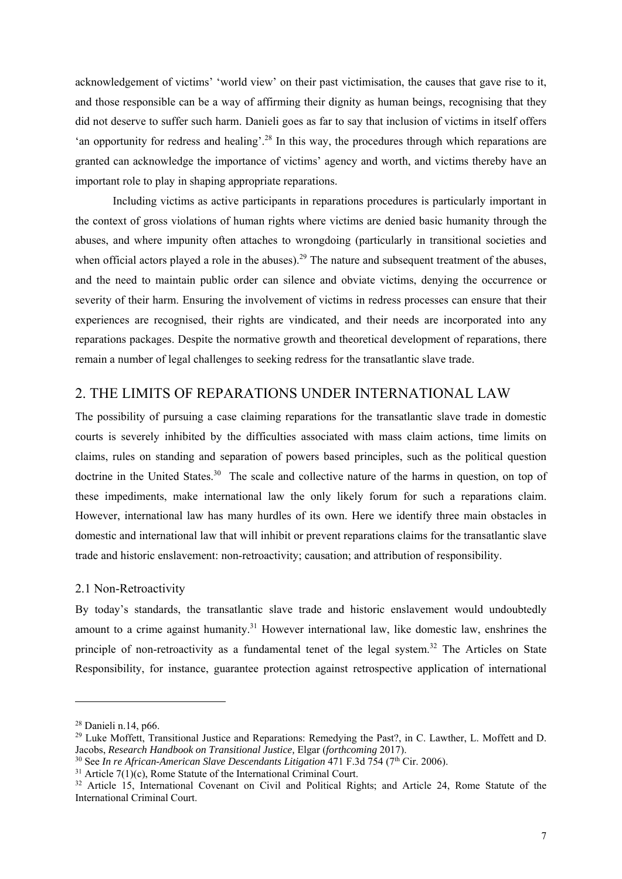acknowledgement of victims' 'world view' on their past victimisation, the causes that gave rise to it, and those responsible can be a way of affirming their dignity as human beings, recognising that they did not deserve to suffer such harm. Danieli goes as far to say that inclusion of victims in itself offers 'an opportunity for redress and healing'.<sup>28</sup> In this way, the procedures through which reparations are granted can acknowledge the importance of victims' agency and worth, and victims thereby have an important role to play in shaping appropriate reparations.

Including victims as active participants in reparations procedures is particularly important in the context of gross violations of human rights where victims are denied basic humanity through the abuses, and where impunity often attaches to wrongdoing (particularly in transitional societies and when official actors played a role in the abuses).<sup>29</sup> The nature and subsequent treatment of the abuses, and the need to maintain public order can silence and obviate victims, denying the occurrence or severity of their harm. Ensuring the involvement of victims in redress processes can ensure that their experiences are recognised, their rights are vindicated, and their needs are incorporated into any reparations packages. Despite the normative growth and theoretical development of reparations, there remain a number of legal challenges to seeking redress for the transatlantic slave trade.

## 2. THE LIMITS OF REPARATIONS UNDER INTERNATIONAL LAW

The possibility of pursuing a case claiming reparations for the transatlantic slave trade in domestic courts is severely inhibited by the difficulties associated with mass claim actions, time limits on claims, rules on standing and separation of powers based principles, such as the political question doctrine in the United States.<sup>30</sup> The scale and collective nature of the harms in question, on top of these impediments, make international law the only likely forum for such a reparations claim. However, international law has many hurdles of its own. Here we identify three main obstacles in domestic and international law that will inhibit or prevent reparations claims for the transatlantic slave trade and historic enslavement: non-retroactivity; causation; and attribution of responsibility.

#### 2.1 Non-Retroactivity

By today's standards, the transatlantic slave trade and historic enslavement would undoubtedly amount to a crime against humanity.<sup>31</sup> However international law, like domestic law, enshrines the principle of non-retroactivity as a fundamental tenet of the legal system.<sup>32</sup> The Articles on State Responsibility, for instance, guarantee protection against retrospective application of international

<sup>28</sup> Danieli n.14, p66.

<sup>&</sup>lt;sup>29</sup> Luke Moffett, Transitional Justice and Reparations: Remedying the Past?, in C. Lawther, L. Moffett and D. Jacobs, *Research Handbook on Transitional Justice,* Elgar (*forthcoming* 2017).

<sup>&</sup>lt;sup>30</sup> See *In re African-American Slave Descendants Litigation* 471 F.3d 754 (7<sup>th</sup> Cir. 2006).

 $31$  Article  $7(1)(c)$ , Rome Statute of the International Criminal Court.

<sup>&</sup>lt;sup>32</sup> Article 15, International Covenant on Civil and Political Rights; and Article 24, Rome Statute of the International Criminal Court.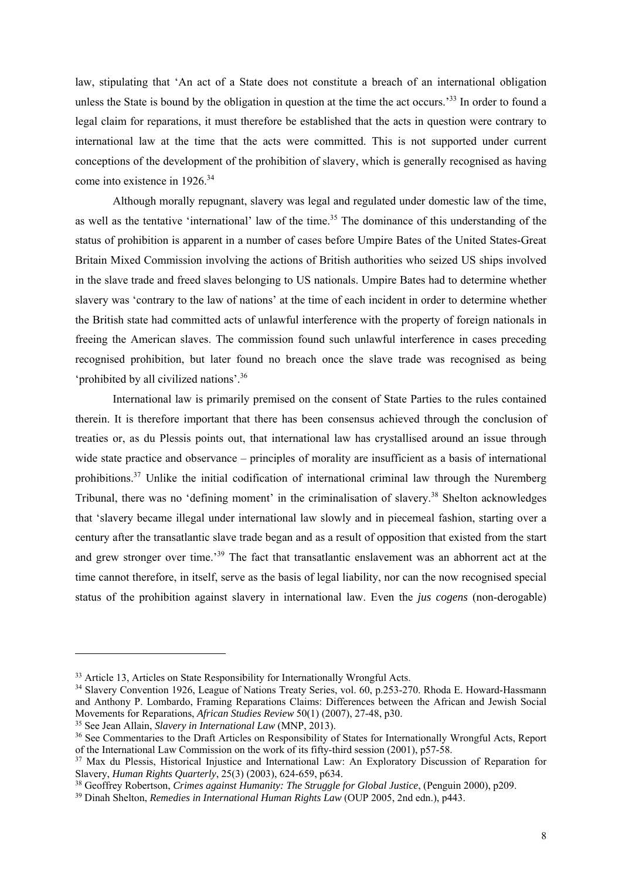law, stipulating that 'An act of a State does not constitute a breach of an international obligation unless the State is bound by the obligation in question at the time the act occurs.<sup>33</sup> In order to found a legal claim for reparations, it must therefore be established that the acts in question were contrary to international law at the time that the acts were committed. This is not supported under current conceptions of the development of the prohibition of slavery, which is generally recognised as having come into existence in 1926.34

Although morally repugnant, slavery was legal and regulated under domestic law of the time, as well as the tentative 'international' law of the time.<sup>35</sup> The dominance of this understanding of the status of prohibition is apparent in a number of cases before Umpire Bates of the United States-Great Britain Mixed Commission involving the actions of British authorities who seized US ships involved in the slave trade and freed slaves belonging to US nationals. Umpire Bates had to determine whether slavery was 'contrary to the law of nations' at the time of each incident in order to determine whether the British state had committed acts of unlawful interference with the property of foreign nationals in freeing the American slaves. The commission found such unlawful interference in cases preceding recognised prohibition, but later found no breach once the slave trade was recognised as being 'prohibited by all civilized nations'.36

International law is primarily premised on the consent of State Parties to the rules contained therein. It is therefore important that there has been consensus achieved through the conclusion of treaties or, as du Plessis points out, that international law has crystallised around an issue through wide state practice and observance – principles of morality are insufficient as a basis of international prohibitions.<sup>37</sup> Unlike the initial codification of international criminal law through the Nuremberg Tribunal, there was no 'defining moment' in the criminalisation of slavery.<sup>38</sup> Shelton acknowledges that 'slavery became illegal under international law slowly and in piecemeal fashion, starting over a century after the transatlantic slave trade began and as a result of opposition that existed from the start and grew stronger over time.'39 The fact that transatlantic enslavement was an abhorrent act at the time cannot therefore, in itself, serve as the basis of legal liability, nor can the now recognised special status of the prohibition against slavery in international law. Even the *jus cogens* (non-derogable)

<sup>&</sup>lt;sup>33</sup> Article 13, Articles on State Responsibility for Internationally Wrongful Acts.

<sup>34</sup> Slavery Convention 1926, League of Nations Treaty Series, vol. 60, p.253-270. Rhoda E. Howard-Hassmann and Anthony P. Lombardo, Framing Reparations Claims: Differences between the African and Jewish Social Movements for Reparations, *African Studies Review* 50(1) (2007), 27-48, p30.

<sup>35</sup> See Jean Allain, *Slavery in International Law* (MNP, 2013).

<sup>&</sup>lt;sup>36</sup> See Commentaries to the Draft Articles on Responsibility of States for Internationally Wrongful Acts, Report of the International Law Commission on the work of its fifty-third session (2001), p57-58.

<sup>&</sup>lt;sup>37</sup> Max du Plessis, Historical Injustice and International Law: An Exploratory Discussion of Reparation for Slavery, *Human Rights Quarterly*, 25(3) (2003), 624-659, p634.

<sup>38</sup> Geoffrey Robertson, *Crimes against Humanity: The Struggle for Global Justice*, (Penguin 2000), p209.

<sup>39</sup> Dinah Shelton, *Remedies in International Human Rights Law* (OUP 2005, 2nd edn.), p443.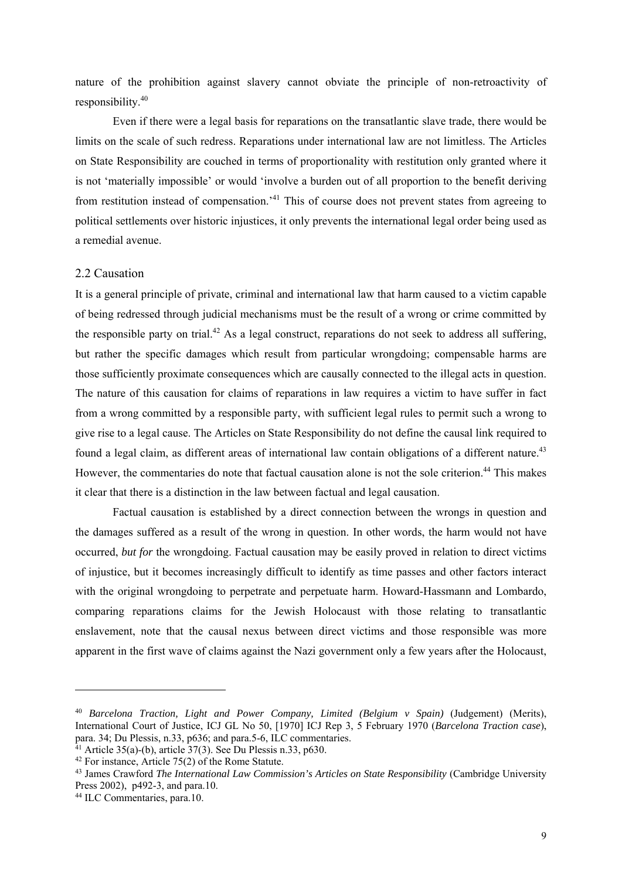nature of the prohibition against slavery cannot obviate the principle of non-retroactivity of responsibility.40

Even if there were a legal basis for reparations on the transatlantic slave trade, there would be limits on the scale of such redress. Reparations under international law are not limitless. The Articles on State Responsibility are couched in terms of proportionality with restitution only granted where it is not 'materially impossible' or would 'involve a burden out of all proportion to the benefit deriving from restitution instead of compensation.'41 This of course does not prevent states from agreeing to political settlements over historic injustices, it only prevents the international legal order being used as a remedial avenue.

#### 2.2 Causation

It is a general principle of private, criminal and international law that harm caused to a victim capable of being redressed through judicial mechanisms must be the result of a wrong or crime committed by the responsible party on trial.<sup>42</sup> As a legal construct, reparations do not seek to address all suffering, but rather the specific damages which result from particular wrongdoing; compensable harms are those sufficiently proximate consequences which are causally connected to the illegal acts in question. The nature of this causation for claims of reparations in law requires a victim to have suffer in fact from a wrong committed by a responsible party, with sufficient legal rules to permit such a wrong to give rise to a legal cause. The Articles on State Responsibility do not define the causal link required to found a legal claim, as different areas of international law contain obligations of a different nature.<sup>43</sup> However, the commentaries do note that factual causation alone is not the sole criterion.<sup>44</sup> This makes it clear that there is a distinction in the law between factual and legal causation.

Factual causation is established by a direct connection between the wrongs in question and the damages suffered as a result of the wrong in question. In other words, the harm would not have occurred, *but for* the wrongdoing. Factual causation may be easily proved in relation to direct victims of injustice, but it becomes increasingly difficult to identify as time passes and other factors interact with the original wrongdoing to perpetrate and perpetuate harm. Howard-Hassmann and Lombardo, comparing reparations claims for the Jewish Holocaust with those relating to transatlantic enslavement, note that the causal nexus between direct victims and those responsible was more apparent in the first wave of claims against the Nazi government only a few years after the Holocaust,

<sup>&</sup>lt;sup>40</sup> *Barcelona Traction, Light and Power Company, Limited (Belgium v Spain)* (Judgement) (Merits), International Court of Justice, ICJ GL No 50, [1970] ICJ Rep 3, 5 February 1970 (*Barcelona Traction case*), para. 34; Du Plessis, n.33, p636; and para.5-6, ILC commentaries.

<sup>&</sup>lt;sup>41</sup> Article 35(a)-(b), article 37(3). See Du Plessis n.33, p630. <sup>42</sup> For instance, Article 75(2) of the Rome Statute.

<sup>43</sup> James Crawford *The International Law Commission's Articles on State Responsibility* (Cambridge University Press 2002), p492-3, and para.10.

<sup>44</sup> ILC Commentaries, para.10.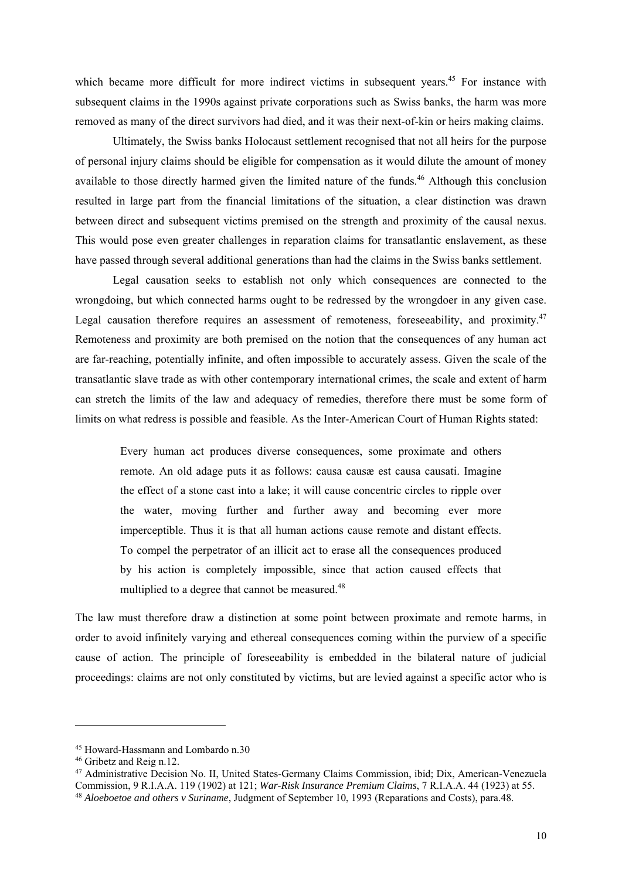which became more difficult for more indirect victims in subsequent years.<sup>45</sup> For instance with subsequent claims in the 1990s against private corporations such as Swiss banks, the harm was more removed as many of the direct survivors had died, and it was their next-of-kin or heirs making claims.

Ultimately, the Swiss banks Holocaust settlement recognised that not all heirs for the purpose of personal injury claims should be eligible for compensation as it would dilute the amount of money available to those directly harmed given the limited nature of the funds.<sup>46</sup> Although this conclusion resulted in large part from the financial limitations of the situation, a clear distinction was drawn between direct and subsequent victims premised on the strength and proximity of the causal nexus. This would pose even greater challenges in reparation claims for transatlantic enslavement, as these have passed through several additional generations than had the claims in the Swiss banks settlement.

Legal causation seeks to establish not only which consequences are connected to the wrongdoing, but which connected harms ought to be redressed by the wrongdoer in any given case. Legal causation therefore requires an assessment of remoteness, foreseeability, and proximity.<sup>47</sup> Remoteness and proximity are both premised on the notion that the consequences of any human act are far-reaching, potentially infinite, and often impossible to accurately assess. Given the scale of the transatlantic slave trade as with other contemporary international crimes, the scale and extent of harm can stretch the limits of the law and adequacy of remedies, therefore there must be some form of limits on what redress is possible and feasible. As the Inter-American Court of Human Rights stated:

Every human act produces diverse consequences, some proximate and others remote. An old adage puts it as follows: causa causæ est causa causati. Imagine the effect of a stone cast into a lake; it will cause concentric circles to ripple over the water, moving further and further away and becoming ever more imperceptible. Thus it is that all human actions cause remote and distant effects. To compel the perpetrator of an illicit act to erase all the consequences produced by his action is completely impossible, since that action caused effects that multiplied to a degree that cannot be measured.<sup>48</sup>

The law must therefore draw a distinction at some point between proximate and remote harms, in order to avoid infinitely varying and ethereal consequences coming within the purview of a specific cause of action. The principle of foreseeability is embedded in the bilateral nature of judicial proceedings: claims are not only constituted by victims, but are levied against a specific actor who is

<sup>45</sup> Howard-Hassmann and Lombardo n.30

<sup>&</sup>lt;sup>46</sup> Gribetz and Reig n.12.

<sup>47</sup> Administrative Decision No. II, United States-Germany Claims Commission, ibid; Dix, American-Venezuela Commission, 9 R.I.A.A. 119 (1902) at 121; *War-Risk Insurance Premium Claims*, 7 R.I.A.A. 44 (1923) at 55.

<sup>48</sup> *Aloeboetoe and others v Suriname*, Judgment of September 10, 1993 (Reparations and Costs), para.48.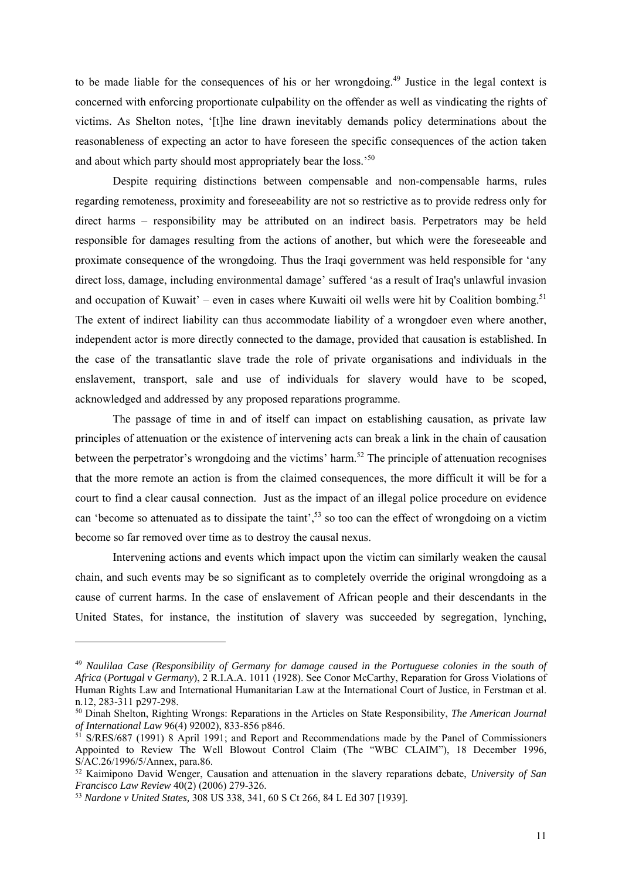to be made liable for the consequences of his or her wrongdoing. 49 Justice in the legal context is concerned with enforcing proportionate culpability on the offender as well as vindicating the rights of victims. As Shelton notes, '[t]he line drawn inevitably demands policy determinations about the reasonableness of expecting an actor to have foreseen the specific consequences of the action taken and about which party should most appropriately bear the loss.<sup>50</sup>

Despite requiring distinctions between compensable and non-compensable harms, rules regarding remoteness, proximity and foreseeability are not so restrictive as to provide redress only for direct harms – responsibility may be attributed on an indirect basis. Perpetrators may be held responsible for damages resulting from the actions of another, but which were the foreseeable and proximate consequence of the wrongdoing. Thus the Iraqi government was held responsible for 'any direct loss, damage, including environmental damage' suffered 'as a result of Iraq's unlawful invasion and occupation of Kuwait' – even in cases where Kuwaiti oil wells were hit by Coalition bombing.<sup>51</sup> The extent of indirect liability can thus accommodate liability of a wrongdoer even where another, independent actor is more directly connected to the damage, provided that causation is established. In the case of the transatlantic slave trade the role of private organisations and individuals in the enslavement, transport, sale and use of individuals for slavery would have to be scoped, acknowledged and addressed by any proposed reparations programme.

The passage of time in and of itself can impact on establishing causation, as private law principles of attenuation or the existence of intervening acts can break a link in the chain of causation between the perpetrator's wrongdoing and the victims' harm.<sup>52</sup> The principle of attenuation recognises that the more remote an action is from the claimed consequences, the more difficult it will be for a court to find a clear causal connection. Just as the impact of an illegal police procedure on evidence can 'become so attenuated as to dissipate the taint',<sup>53</sup> so too can the effect of wrongdoing on a victim become so far removed over time as to destroy the causal nexus.

Intervening actions and events which impact upon the victim can similarly weaken the causal chain, and such events may be so significant as to completely override the original wrongdoing as a cause of current harms. In the case of enslavement of African people and their descendants in the United States, for instance, the institution of slavery was succeeded by segregation, lynching,

<sup>49</sup> *Naulilaa Case (Responsibility of Germany for damage caused in the Portuguese colonies in the south of Africa* (*Portugal v Germany*), 2 R.I.A.A. 1011 (1928). See Conor McCarthy, Reparation for Gross Violations of Human Rights Law and International Humanitarian Law at the International Court of Justice, in Ferstman et al. n.12, 283-311 p297-298.

<sup>50</sup> Dinah Shelton, Righting Wrongs: Reparations in the Articles on State Responsibility, *The American Journal of International Law* 96(4) 92002), 833-856 p846.

 $51$  S/RES/687 (1991) 8 April 1991; and Report and Recommendations made by the Panel of Commissioners Appointed to Review The Well Blowout Control Claim (The "WBC CLAIM"), 18 December 1996, S/AC.26/1996/5/Annex, para.86.

<sup>52</sup> Kaimipono David Wenger, Causation and attenuation in the slavery reparations debate, *University of San Francisco Law Review* 40(2) (2006) 279-326.

<sup>53</sup> *Nardone v United States,* 308 US 338, 341, 60 S Ct 266, 84 L Ed 307 [1939].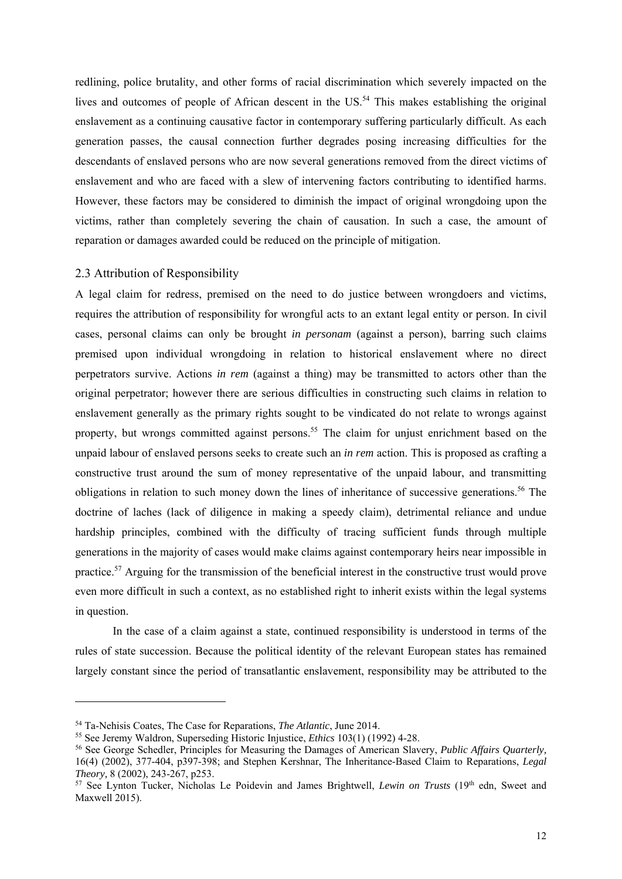redlining, police brutality, and other forms of racial discrimination which severely impacted on the lives and outcomes of people of African descent in the US.<sup>54</sup> This makes establishing the original enslavement as a continuing causative factor in contemporary suffering particularly difficult. As each generation passes, the causal connection further degrades posing increasing difficulties for the descendants of enslaved persons who are now several generations removed from the direct victims of enslavement and who are faced with a slew of intervening factors contributing to identified harms. However, these factors may be considered to diminish the impact of original wrongdoing upon the victims, rather than completely severing the chain of causation. In such a case, the amount of reparation or damages awarded could be reduced on the principle of mitigation.

#### 2.3 Attribution of Responsibility

A legal claim for redress, premised on the need to do justice between wrongdoers and victims, requires the attribution of responsibility for wrongful acts to an extant legal entity or person. In civil cases, personal claims can only be brought *in personam* (against a person), barring such claims premised upon individual wrongdoing in relation to historical enslavement where no direct perpetrators survive. Actions *in rem* (against a thing) may be transmitted to actors other than the original perpetrator; however there are serious difficulties in constructing such claims in relation to enslavement generally as the primary rights sought to be vindicated do not relate to wrongs against property, but wrongs committed against persons.<sup>55</sup> The claim for unjust enrichment based on the unpaid labour of enslaved persons seeks to create such an *in rem* action. This is proposed as crafting a constructive trust around the sum of money representative of the unpaid labour, and transmitting obligations in relation to such money down the lines of inheritance of successive generations.<sup>56</sup> The doctrine of laches (lack of diligence in making a speedy claim), detrimental reliance and undue hardship principles, combined with the difficulty of tracing sufficient funds through multiple generations in the majority of cases would make claims against contemporary heirs near impossible in practice.57 Arguing for the transmission of the beneficial interest in the constructive trust would prove even more difficult in such a context, as no established right to inherit exists within the legal systems in question.

In the case of a claim against a state, continued responsibility is understood in terms of the rules of state succession. Because the political identity of the relevant European states has remained largely constant since the period of transatlantic enslavement, responsibility may be attributed to the

<sup>54</sup> Ta-Nehisis Coates, The Case for Reparations, *The Atlantic*, June 2014. 55 See Jeremy Waldron, Superseding Historic Injustice, *Ethics* 103(1) (1992) 4-28.

<sup>56</sup> See George Schedler, Principles for Measuring the Damages of American Slavery, *Public Affairs Quarterly,* 16(4) (2002), 377-404, p397-398; and Stephen Kershnar, The Inheritance-Based Claim to Reparations, *Legal* 

<sup>&</sup>lt;sup>57</sup> See Lynton Tucker, Nicholas Le Poidevin and James Brightwell, *Lewin on Trusts* (19<sup>th</sup> edn, Sweet and Maxwell 2015).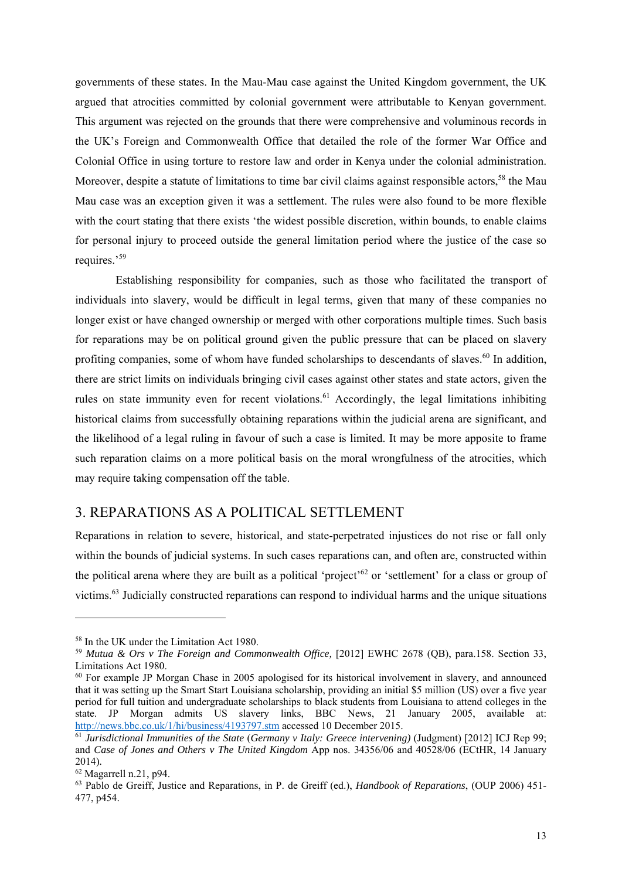governments of these states. In the Mau-Mau case against the United Kingdom government, the UK argued that atrocities committed by colonial government were attributable to Kenyan government. This argument was rejected on the grounds that there were comprehensive and voluminous records in the UK's Foreign and Commonwealth Office that detailed the role of the former War Office and Colonial Office in using torture to restore law and order in Kenya under the colonial administration. Moreover, despite a statute of limitations to time bar civil claims against responsible actors,<sup>58</sup> the Mau Mau case was an exception given it was a settlement. The rules were also found to be more flexible with the court stating that there exists 'the widest possible discretion, within bounds, to enable claims for personal injury to proceed outside the general limitation period where the justice of the case so requires.'<sup>59</sup>

 Establishing responsibility for companies, such as those who facilitated the transport of individuals into slavery, would be difficult in legal terms, given that many of these companies no longer exist or have changed ownership or merged with other corporations multiple times. Such basis for reparations may be on political ground given the public pressure that can be placed on slavery profiting companies, some of whom have funded scholarships to descendants of slaves.<sup>60</sup> In addition, there are strict limits on individuals bringing civil cases against other states and state actors, given the rules on state immunity even for recent violations.<sup>61</sup> Accordingly, the legal limitations inhibiting historical claims from successfully obtaining reparations within the judicial arena are significant, and the likelihood of a legal ruling in favour of such a case is limited. It may be more apposite to frame such reparation claims on a more political basis on the moral wrongfulness of the atrocities, which may require taking compensation off the table.

## 3. REPARATIONS AS A POLITICAL SETTLEMENT

Reparations in relation to severe, historical, and state-perpetrated injustices do not rise or fall only within the bounds of judicial systems. In such cases reparations can, and often are, constructed within the political arena where they are built as a political 'project'<sup>62</sup> or 'settlement' for a class or group of victims.63 Judicially constructed reparations can respond to individual harms and the unique situations

<sup>58</sup> In the UK under the Limitation Act 1980.

<sup>59</sup> *Mutua & Ors v The Foreign and Commonwealth Office,* [2012] EWHC 2678 (QB), para.158. Section 33, Limitations Act 1980.

<sup>&</sup>lt;sup>60</sup> For example JP Morgan Chase in 2005 apologised for its historical involvement in slavery, and announced that it was setting up the Smart Start Louisiana scholarship, providing an initial \$5 million (US) over a five year period for full tuition and undergraduate scholarships to black students from Louisiana to attend colleges in the state. JP Morgan admits US slavery links, BBC News, 21 January 2005, available at: http://news.bbc.co.uk/1/hi/business/4193797.stm accessed 10 December 2015.

<sup>61</sup> *Jurisdictional Immunities of the State* (*Germany v Italy: Greece intervening)* (Judgment) [2012] ICJ Rep 99; and *Case of Jones and Others v The United Kingdom* App nos. 34356/06 and 40528/06 (ECtHR, 14 January 2014)*.*

<sup>62</sup> Magarrell n.21, p94.

<sup>63</sup> Pablo de Greiff, Justice and Reparations, in P. de Greiff (ed.), *Handbook of Reparations*, (OUP 2006) 451- 477, p454.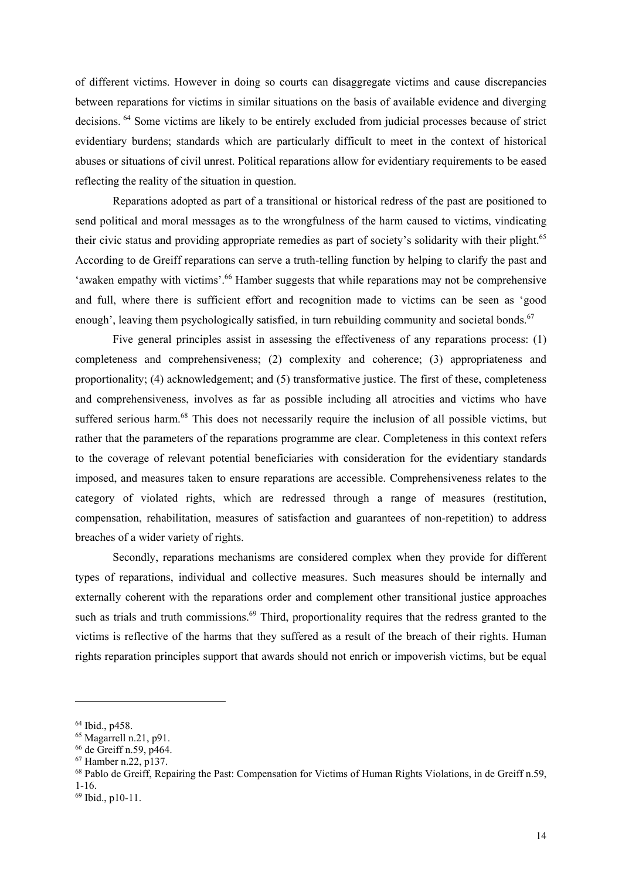of different victims. However in doing so courts can disaggregate victims and cause discrepancies between reparations for victims in similar situations on the basis of available evidence and diverging decisions. 64 Some victims are likely to be entirely excluded from judicial processes because of strict evidentiary burdens; standards which are particularly difficult to meet in the context of historical abuses or situations of civil unrest. Political reparations allow for evidentiary requirements to be eased reflecting the reality of the situation in question.

Reparations adopted as part of a transitional or historical redress of the past are positioned to send political and moral messages as to the wrongfulness of the harm caused to victims, vindicating their civic status and providing appropriate remedies as part of society's solidarity with their plight.<sup>65</sup> According to de Greiff reparations can serve a truth-telling function by helping to clarify the past and 'awaken empathy with victims'.<sup>66</sup> Hamber suggests that while reparations may not be comprehensive and full, where there is sufficient effort and recognition made to victims can be seen as 'good enough', leaving them psychologically satisfied, in turn rebuilding community and societal bonds.<sup>67</sup>

Five general principles assist in assessing the effectiveness of any reparations process: (1) completeness and comprehensiveness; (2) complexity and coherence; (3) appropriateness and proportionality; (4) acknowledgement; and (5) transformative justice. The first of these, completeness and comprehensiveness, involves as far as possible including all atrocities and victims who have suffered serious harm.<sup>68</sup> This does not necessarily require the inclusion of all possible victims, but rather that the parameters of the reparations programme are clear. Completeness in this context refers to the coverage of relevant potential beneficiaries with consideration for the evidentiary standards imposed, and measures taken to ensure reparations are accessible. Comprehensiveness relates to the category of violated rights, which are redressed through a range of measures (restitution, compensation, rehabilitation, measures of satisfaction and guarantees of non-repetition) to address breaches of a wider variety of rights.

Secondly, reparations mechanisms are considered complex when they provide for different types of reparations, individual and collective measures. Such measures should be internally and externally coherent with the reparations order and complement other transitional justice approaches such as trials and truth commissions.<sup>69</sup> Third, proportionality requires that the redress granted to the victims is reflective of the harms that they suffered as a result of the breach of their rights. Human rights reparation principles support that awards should not enrich or impoverish victims, but be equal

<sup>64</sup> Ibid., p458.

 $65$  Magarrell n.21, p91.

<sup>66</sup> de Greiff n.59, p464.

<sup>67</sup> Hamber n.22, p137.

<sup>68</sup> Pablo de Greiff, Repairing the Past: Compensation for Victims of Human Rights Violations, in de Greiff n.59, 1-16.

<sup>69</sup> Ibid., p10-11.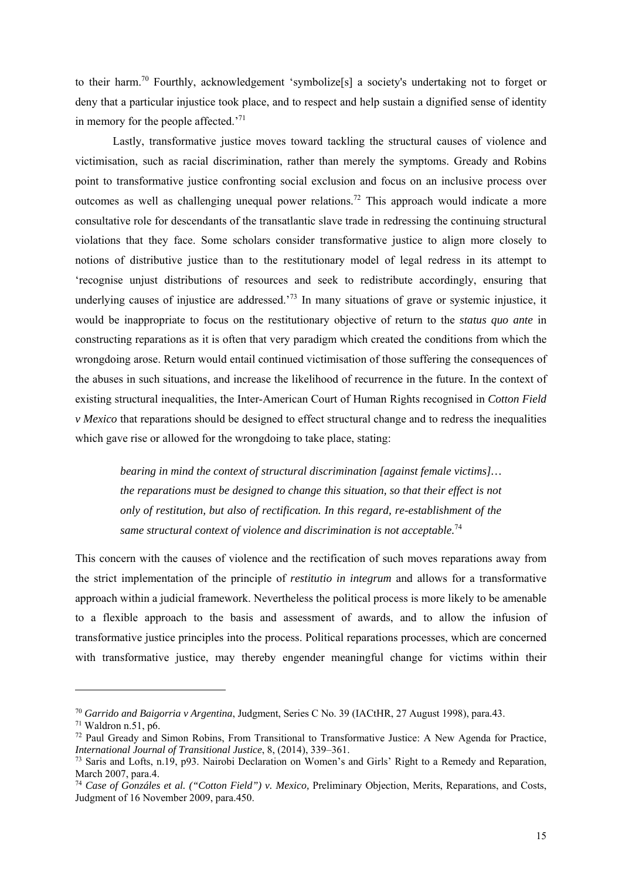to their harm.70 Fourthly, acknowledgement 'symbolize[s] a society's undertaking not to forget or deny that a particular injustice took place, and to respect and help sustain a dignified sense of identity in memory for the people affected.<sup>'71</sup>

Lastly, transformative justice moves toward tackling the structural causes of violence and victimisation, such as racial discrimination, rather than merely the symptoms. Gready and Robins point to transformative justice confronting social exclusion and focus on an inclusive process over outcomes as well as challenging unequal power relations.<sup>72</sup> This approach would indicate a more consultative role for descendants of the transatlantic slave trade in redressing the continuing structural violations that they face. Some scholars consider transformative justice to align more closely to notions of distributive justice than to the restitutionary model of legal redress in its attempt to 'recognise unjust distributions of resources and seek to redistribute accordingly, ensuring that underlying causes of injustice are addressed.<sup>73</sup> In many situations of grave or systemic injustice, it would be inappropriate to focus on the restitutionary objective of return to the *status quo ante* in constructing reparations as it is often that very paradigm which created the conditions from which the wrongdoing arose. Return would entail continued victimisation of those suffering the consequences of the abuses in such situations, and increase the likelihood of recurrence in the future. In the context of existing structural inequalities, the Inter-American Court of Human Rights recognised in *Cotton Field v Mexico* that reparations should be designed to effect structural change and to redress the inequalities which gave rise or allowed for the wrongdoing to take place, stating:

*bearing in mind the context of structural discrimination [against female victims]… the reparations must be designed to change this situation, so that their effect is not only of restitution, but also of rectification. In this regard, re-establishment of the same structural context of violence and discrimination is not acceptable.*<sup>74</sup>

This concern with the causes of violence and the rectification of such moves reparations away from the strict implementation of the principle of *restitutio in integrum* and allows for a transformative approach within a judicial framework. Nevertheless the political process is more likely to be amenable to a flexible approach to the basis and assessment of awards, and to allow the infusion of transformative justice principles into the process. Political reparations processes, which are concerned with transformative justice, may thereby engender meaningful change for victims within their

<sup>70</sup> *Garrido and Baigorria v Argentina*, Judgment, Series C No. 39 (IACtHR, 27 August 1998), para.43.

<sup>71</sup> Waldron n.51, p6.

<sup>72</sup> Paul Gready and Simon Robins, From Transitional to Transformative Justice: A New Agenda for Practice, *International Journal of Transitional Justice*, 8, (2014), 339–361.

<sup>73</sup> Saris and Lofts, n.19, p93. Nairobi Declaration on Women's and Girls' Right to a Remedy and Reparation, March 2007, para.4.

<sup>74</sup> *Case of Gonzáles et al. ("Cotton Field") v. Mexico,* Preliminary Objection, Merits, Reparations, and Costs, Judgment of 16 November 2009, para.450.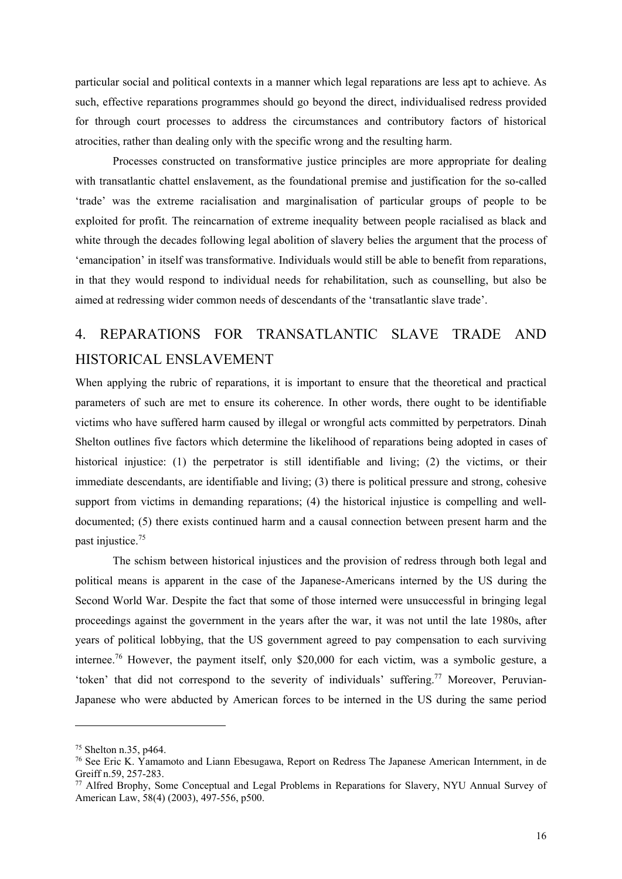particular social and political contexts in a manner which legal reparations are less apt to achieve. As such, effective reparations programmes should go beyond the direct, individualised redress provided for through court processes to address the circumstances and contributory factors of historical atrocities, rather than dealing only with the specific wrong and the resulting harm.

Processes constructed on transformative justice principles are more appropriate for dealing with transatlantic chattel enslavement, as the foundational premise and justification for the so-called 'trade' was the extreme racialisation and marginalisation of particular groups of people to be exploited for profit. The reincarnation of extreme inequality between people racialised as black and white through the decades following legal abolition of slavery belies the argument that the process of 'emancipation' in itself was transformative. Individuals would still be able to benefit from reparations, in that they would respond to individual needs for rehabilitation, such as counselling, but also be aimed at redressing wider common needs of descendants of the 'transatlantic slave trade'.

# 4. REPARATIONS FOR TRANSATLANTIC SLAVE TRADE AND HISTORICAL ENSLAVEMENT

When applying the rubric of reparations, it is important to ensure that the theoretical and practical parameters of such are met to ensure its coherence. In other words, there ought to be identifiable victims who have suffered harm caused by illegal or wrongful acts committed by perpetrators. Dinah Shelton outlines five factors which determine the likelihood of reparations being adopted in cases of historical injustice: (1) the perpetrator is still identifiable and living; (2) the victims, or their immediate descendants, are identifiable and living; (3) there is political pressure and strong, cohesive support from victims in demanding reparations; (4) the historical injustice is compelling and welldocumented; (5) there exists continued harm and a causal connection between present harm and the past injustice.75

The schism between historical injustices and the provision of redress through both legal and political means is apparent in the case of the Japanese-Americans interned by the US during the Second World War. Despite the fact that some of those interned were unsuccessful in bringing legal proceedings against the government in the years after the war, it was not until the late 1980s, after years of political lobbying, that the US government agreed to pay compensation to each surviving internee.76 However, the payment itself, only \$20,000 for each victim, was a symbolic gesture, a 'token' that did not correspond to the severity of individuals' suffering.77 Moreover, Peruvian-Japanese who were abducted by American forces to be interned in the US during the same period

<sup>75</sup> Shelton n.35, p464.

<sup>76</sup> See Eric K. Yamamoto and Liann Ebesugawa, Report on Redress The Japanese American Internment, in de Greiff n.59, 257-283.

<sup>77</sup> Alfred Brophy, Some Conceptual and Legal Problems in Reparations for Slavery, NYU Annual Survey of American Law, 58(4) (2003), 497-556, p500.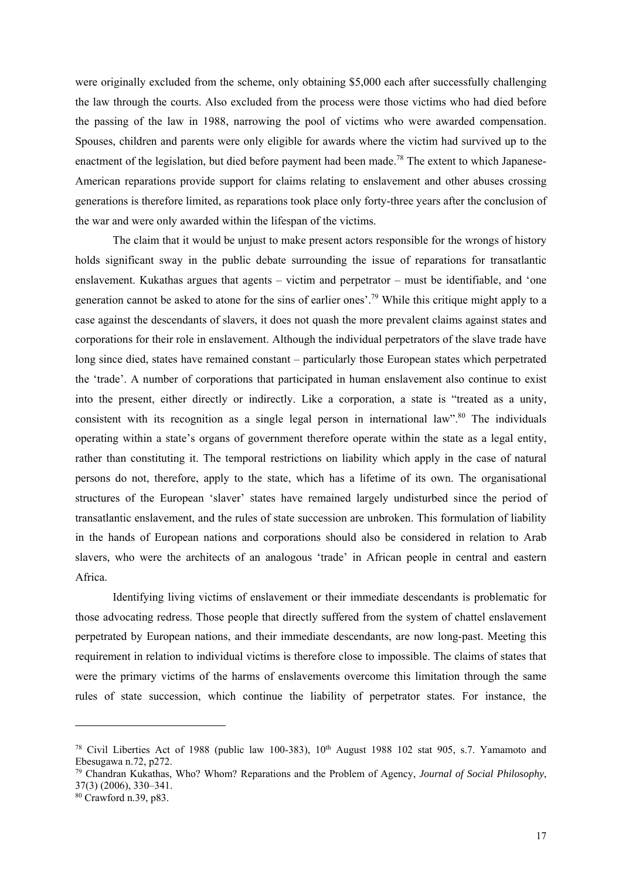were originally excluded from the scheme, only obtaining \$5,000 each after successfully challenging the law through the courts. Also excluded from the process were those victims who had died before the passing of the law in 1988, narrowing the pool of victims who were awarded compensation. Spouses, children and parents were only eligible for awards where the victim had survived up to the enactment of the legislation, but died before payment had been made.<sup>78</sup> The extent to which Japanese-American reparations provide support for claims relating to enslavement and other abuses crossing generations is therefore limited, as reparations took place only forty-three years after the conclusion of the war and were only awarded within the lifespan of the victims.

The claim that it would be unjust to make present actors responsible for the wrongs of history holds significant sway in the public debate surrounding the issue of reparations for transatlantic enslavement. Kukathas argues that agents – victim and perpetrator – must be identifiable, and 'one generation cannot be asked to atone for the sins of earlier ones'.79 While this critique might apply to a case against the descendants of slavers, it does not quash the more prevalent claims against states and corporations for their role in enslavement. Although the individual perpetrators of the slave trade have long since died, states have remained constant – particularly those European states which perpetrated the 'trade'. A number of corporations that participated in human enslavement also continue to exist into the present, either directly or indirectly. Like a corporation, a state is "treated as a unity, consistent with its recognition as a single legal person in international law".<sup>80</sup> The individuals operating within a state's organs of government therefore operate within the state as a legal entity, rather than constituting it. The temporal restrictions on liability which apply in the case of natural persons do not, therefore, apply to the state, which has a lifetime of its own. The organisational structures of the European 'slaver' states have remained largely undisturbed since the period of transatlantic enslavement, and the rules of state succession are unbroken. This formulation of liability in the hands of European nations and corporations should also be considered in relation to Arab slavers, who were the architects of an analogous 'trade' in African people in central and eastern Africa.

Identifying living victims of enslavement or their immediate descendants is problematic for those advocating redress. Those people that directly suffered from the system of chattel enslavement perpetrated by European nations, and their immediate descendants, are now long-past. Meeting this requirement in relation to individual victims is therefore close to impossible. The claims of states that were the primary victims of the harms of enslavements overcome this limitation through the same rules of state succession, which continue the liability of perpetrator states. For instance, the

<sup>&</sup>lt;sup>78</sup> Civil Liberties Act of 1988 (public law 100-383),  $10<sup>th</sup>$  August 1988 102 stat 905, s.7. Yamamoto and Ebesugawa n.72, p272.

<sup>79</sup> Chandran Kukathas, Who? Whom? Reparations and the Problem of Agency, *Journal of Social Philosophy*, 37(3) (2006), 330–341.

<sup>80</sup> Crawford n.39, p83.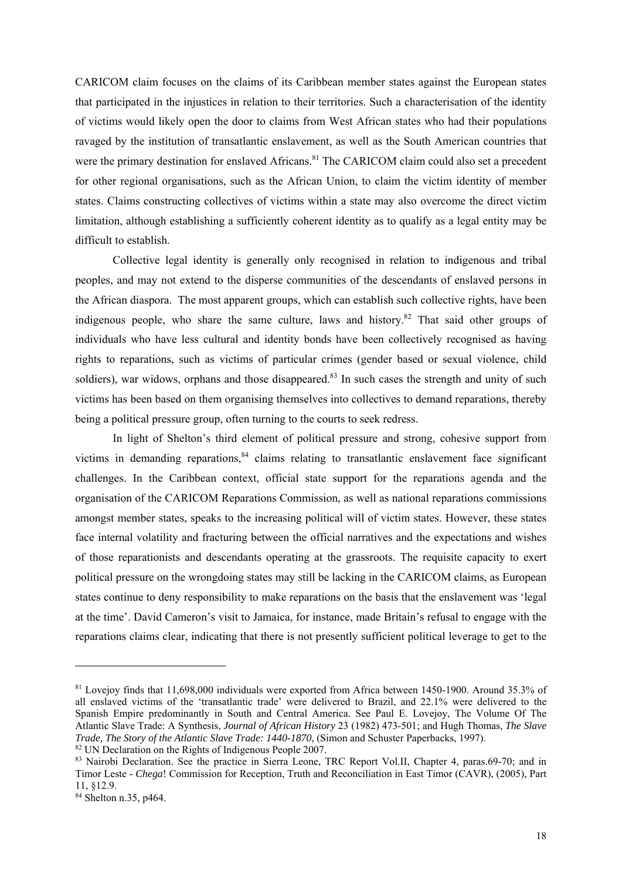CARICOM claim focuses on the claims of its Caribbean member states against the European states that participated in the injustices in relation to their territories. Such a characterisation of the identity of victims would likely open the door to claims from West African states who had their populations ravaged by the institution of transatlantic enslavement, as well as the South American countries that were the primary destination for enslaved Africans.<sup>81</sup> The CARICOM claim could also set a precedent for other regional organisations, such as the African Union, to claim the victim identity of member states. Claims constructing collectives of victims within a state may also overcome the direct victim limitation, although establishing a sufficiently coherent identity as to qualify as a legal entity may be difficult to establish.

Collective legal identity is generally only recognised in relation to indigenous and tribal peoples, and may not extend to the disperse communities of the descendants of enslaved persons in the African diaspora. The most apparent groups, which can establish such collective rights, have been indigenous people, who share the same culture, laws and history.<sup>82</sup> That said other groups of individuals who have less cultural and identity bonds have been collectively recognised as having rights to reparations, such as victims of particular crimes (gender based or sexual violence, child soldiers), war widows, orphans and those disappeared.<sup>83</sup> In such cases the strength and unity of such victims has been based on them organising themselves into collectives to demand reparations, thereby being a political pressure group, often turning to the courts to seek redress.

In light of Shelton's third element of political pressure and strong, cohesive support from victims in demanding reparations,<sup>84</sup> claims relating to transatlantic enslavement face significant challenges. In the Caribbean context, official state support for the reparations agenda and the organisation of the CARICOM Reparations Commission, as well as national reparations commissions amongst member states, speaks to the increasing political will of victim states. However, these states face internal volatility and fracturing between the official narratives and the expectations and wishes of those reparationists and descendants operating at the grassroots. The requisite capacity to exert political pressure on the wrongdoing states may still be lacking in the CARICOM claims, as European states continue to deny responsibility to make reparations on the basis that the enslavement was 'legal at the time'. David Cameron's visit to Jamaica, for instance, made Britain's refusal to engage with the reparations claims clear, indicating that there is not presently sufficient political leverage to get to the

<sup>&</sup>lt;sup>81</sup> Lovejoy finds that 11,698,000 individuals were exported from Africa between 1450-1900. Around 35.3% of all enslaved victims of the 'transatlantic trade' were delivered to Brazil, and 22.1% were delivered to the Spanish Empire predominantly in South and Central America. See Paul E. Lovejoy, The Volume Of The Atlantic Slave Trade: A Synthesis, *Journal of African History* 23 (1982) 473-501; and Hugh Thomas, *The Slave Trade, The Story of the Atlantic Slave Trade: 1440-1870*, (Simon and Schuster Paperbacks, 1997). <sup>82</sup> UN Declaration on the Rights of Indigenous People 2007.

<sup>83</sup> Nairobi Declaration. See the practice in Sierra Leone, TRC Report Vol.II, Chapter 4, paras.69-70; and in Timor Leste - *Chega*! Commission for Reception, Truth and Reconciliation in East Timor (CAVR), (2005), Part 11, §12.9.

<sup>&</sup>lt;sup>84</sup> Shelton n.35, p464.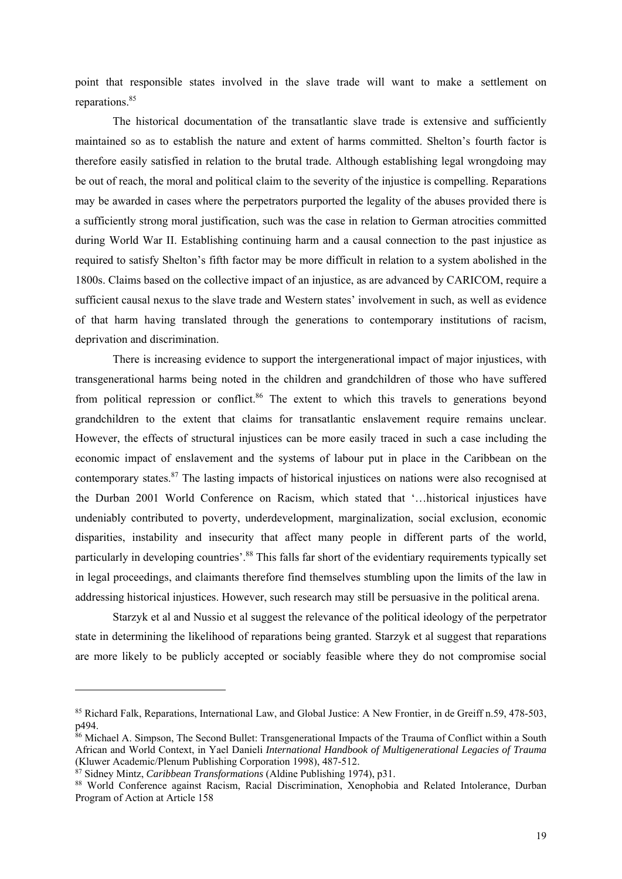point that responsible states involved in the slave trade will want to make a settlement on reparations.<sup>85</sup>

The historical documentation of the transatlantic slave trade is extensive and sufficiently maintained so as to establish the nature and extent of harms committed. Shelton's fourth factor is therefore easily satisfied in relation to the brutal trade. Although establishing legal wrongdoing may be out of reach, the moral and political claim to the severity of the injustice is compelling. Reparations may be awarded in cases where the perpetrators purported the legality of the abuses provided there is a sufficiently strong moral justification, such was the case in relation to German atrocities committed during World War II. Establishing continuing harm and a causal connection to the past injustice as required to satisfy Shelton's fifth factor may be more difficult in relation to a system abolished in the 1800s. Claims based on the collective impact of an injustice, as are advanced by CARICOM, require a sufficient causal nexus to the slave trade and Western states' involvement in such, as well as evidence of that harm having translated through the generations to contemporary institutions of racism, deprivation and discrimination.

There is increasing evidence to support the intergenerational impact of major injustices, with transgenerational harms being noted in the children and grandchildren of those who have suffered from political repression or conflict.<sup>86</sup> The extent to which this travels to generations beyond grandchildren to the extent that claims for transatlantic enslavement require remains unclear. However, the effects of structural injustices can be more easily traced in such a case including the economic impact of enslavement and the systems of labour put in place in the Caribbean on the contemporary states.87 The lasting impacts of historical injustices on nations were also recognised at the Durban 2001 World Conference on Racism, which stated that '…historical injustices have undeniably contributed to poverty, underdevelopment, marginalization, social exclusion, economic disparities, instability and insecurity that affect many people in different parts of the world, particularly in developing countries'.<sup>88</sup> This falls far short of the evidentiary requirements typically set in legal proceedings, and claimants therefore find themselves stumbling upon the limits of the law in addressing historical injustices. However, such research may still be persuasive in the political arena.

Starzyk et al and Nussio et al suggest the relevance of the political ideology of the perpetrator state in determining the likelihood of reparations being granted. Starzyk et al suggest that reparations are more likely to be publicly accepted or sociably feasible where they do not compromise social

<sup>85</sup> Richard Falk, Reparations, International Law, and Global Justice: A New Frontier, in de Greiff n.59, 478-503, p494.

<sup>&</sup>lt;sup>86</sup> Michael A. Simpson, The Second Bullet: Transgenerational Impacts of the Trauma of Conflict within a South African and World Context, in Yael Danieli *International Handbook of Multigenerational Legacies of Trauma*  (Kluwer Academic/Plenum Publishing Corporation 1998), 487-512.

<sup>87</sup> Sidney Mintz, *Caribbean Transformations* (Aldine Publishing 1974), p31.

<sup>88</sup> World Conference against Racism, Racial Discrimination, Xenophobia and Related Intolerance, Durban Program of Action at Article 158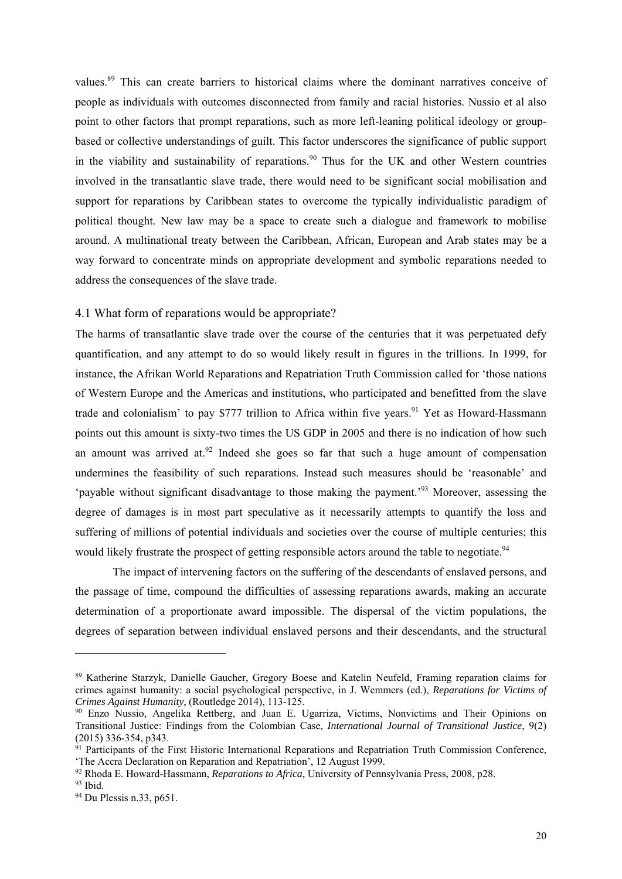values.<sup>89</sup> This can create barriers to historical claims where the dominant narratives conceive of people as individuals with outcomes disconnected from family and racial histories. Nussio et al also point to other factors that prompt reparations, such as more left-leaning political ideology or groupbased or collective understandings of guilt. This factor underscores the significance of public support in the viability and sustainability of reparations.<sup>90</sup> Thus for the UK and other Western countries involved in the transatlantic slave trade, there would need to be significant social mobilisation and support for reparations by Caribbean states to overcome the typically individualistic paradigm of political thought. New law may be a space to create such a dialogue and framework to mobilise around. A multinational treaty between the Caribbean, African, European and Arab states may be a way forward to concentrate minds on appropriate development and symbolic reparations needed to address the consequences of the slave trade.

#### 4.1 What form of reparations would be appropriate?

The harms of transatlantic slave trade over the course of the centuries that it was perpetuated defy quantification, and any attempt to do so would likely result in figures in the trillions. In 1999, for instance, the Afrikan World Reparations and Repatriation Truth Commission called for 'those nations of Western Europe and the Americas and institutions, who participated and benefitted from the slave trade and colonialism' to pay \$777 trillion to Africa within five years.<sup>91</sup> Yet as Howard-Hassmann points out this amount is sixty-two times the US GDP in 2005 and there is no indication of how such an amount was arrived at.<sup>92</sup> Indeed she goes so far that such a huge amount of compensation undermines the feasibility of such reparations. Instead such measures should be 'reasonable' and 'payable without significant disadvantage to those making the payment.'93 Moreover, assessing the degree of damages is in most part speculative as it necessarily attempts to quantify the loss and suffering of millions of potential individuals and societies over the course of multiple centuries; this would likely frustrate the prospect of getting responsible actors around the table to negotiate.<sup>94</sup>

The impact of intervening factors on the suffering of the descendants of enslaved persons, and the passage of time, compound the difficulties of assessing reparations awards, making an accurate determination of a proportionate award impossible. The dispersal of the victim populations, the degrees of separation between individual enslaved persons and their descendants, and the structural

<sup>89</sup> Katherine Starzyk, Danielle Gaucher, Gregory Boese and Katelin Neufeld, Framing reparation claims for crimes against humanity: a social psychological perspective, in J. Wemmers (ed.), *Reparations for Victims of Crimes Against Humanity*, (Routledge 2014), 113-125.

<sup>&</sup>lt;sup>90</sup> Enzo Nussio, Angelika Rettberg, and Juan E. Ugarriza, Victims, Nonvictims and Their Opinions on Transitional Justice: Findings from the Colombian Case, *International Journal of Transitional Justice*, 9(2) (2015) 336-354, p343.

 $91$  Participants of the First Historic International Reparations and Repatriation Truth Commission Conference, 'The Accra Declaration on Reparation and Repatriation', 12 August 1999.

<sup>92</sup> Rhoda E. Howard-Hassmann, *Reparations to Africa*, University of Pennsylvania Press, 2008, p28.

 $93$  Ibid.

<sup>94</sup> Du Plessis n.33, p651.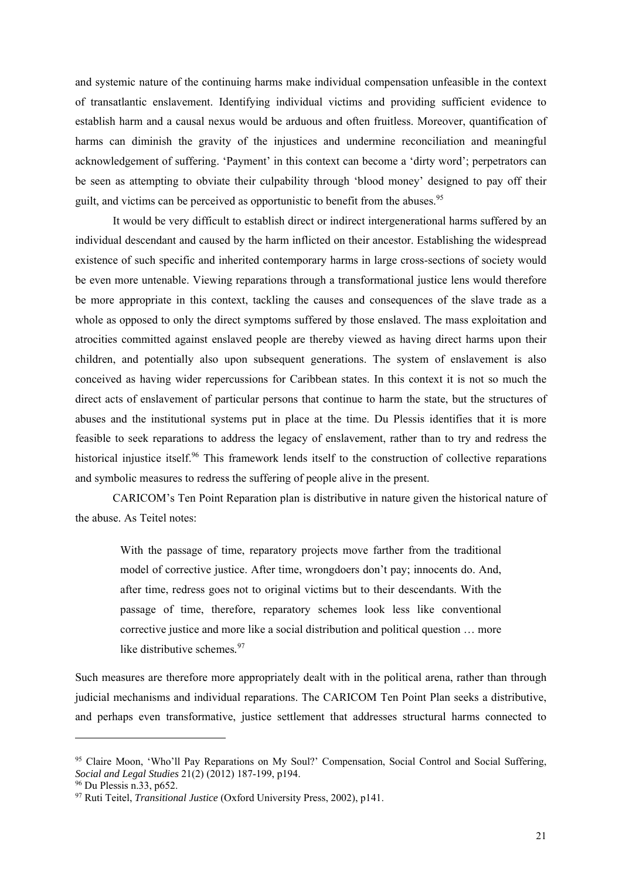and systemic nature of the continuing harms make individual compensation unfeasible in the context of transatlantic enslavement. Identifying individual victims and providing sufficient evidence to establish harm and a causal nexus would be arduous and often fruitless. Moreover, quantification of harms can diminish the gravity of the injustices and undermine reconciliation and meaningful acknowledgement of suffering. 'Payment' in this context can become a 'dirty word'; perpetrators can be seen as attempting to obviate their culpability through 'blood money' designed to pay off their guilt, and victims can be perceived as opportunistic to benefit from the abuses.<sup>95</sup>

It would be very difficult to establish direct or indirect intergenerational harms suffered by an individual descendant and caused by the harm inflicted on their ancestor. Establishing the widespread existence of such specific and inherited contemporary harms in large cross-sections of society would be even more untenable. Viewing reparations through a transformational justice lens would therefore be more appropriate in this context, tackling the causes and consequences of the slave trade as a whole as opposed to only the direct symptoms suffered by those enslaved. The mass exploitation and atrocities committed against enslaved people are thereby viewed as having direct harms upon their children, and potentially also upon subsequent generations. The system of enslavement is also conceived as having wider repercussions for Caribbean states. In this context it is not so much the direct acts of enslavement of particular persons that continue to harm the state, but the structures of abuses and the institutional systems put in place at the time. Du Plessis identifies that it is more feasible to seek reparations to address the legacy of enslavement, rather than to try and redress the historical injustice itself.<sup>96</sup> This framework lends itself to the construction of collective reparations and symbolic measures to redress the suffering of people alive in the present.

CARICOM's Ten Point Reparation plan is distributive in nature given the historical nature of the abuse. As Teitel notes:

With the passage of time, reparatory projects move farther from the traditional model of corrective justice. After time, wrongdoers don't pay; innocents do. And, after time, redress goes not to original victims but to their descendants. With the passage of time, therefore, reparatory schemes look less like conventional corrective justice and more like a social distribution and political question … more like distributive schemes*.* 97

Such measures are therefore more appropriately dealt with in the political arena, rather than through judicial mechanisms and individual reparations. The CARICOM Ten Point Plan seeks a distributive, and perhaps even transformative, justice settlement that addresses structural harms connected to

<sup>95</sup> Claire Moon, 'Who'll Pay Reparations on My Soul?' Compensation, Social Control and Social Suffering, *Social and Legal Studies* 21(2) (2012) 187-199, p194.

<sup>96</sup> Du Plessis n.33, p652.

<sup>97</sup> Ruti Teitel, *Transitional Justice* (Oxford University Press, 2002), p141.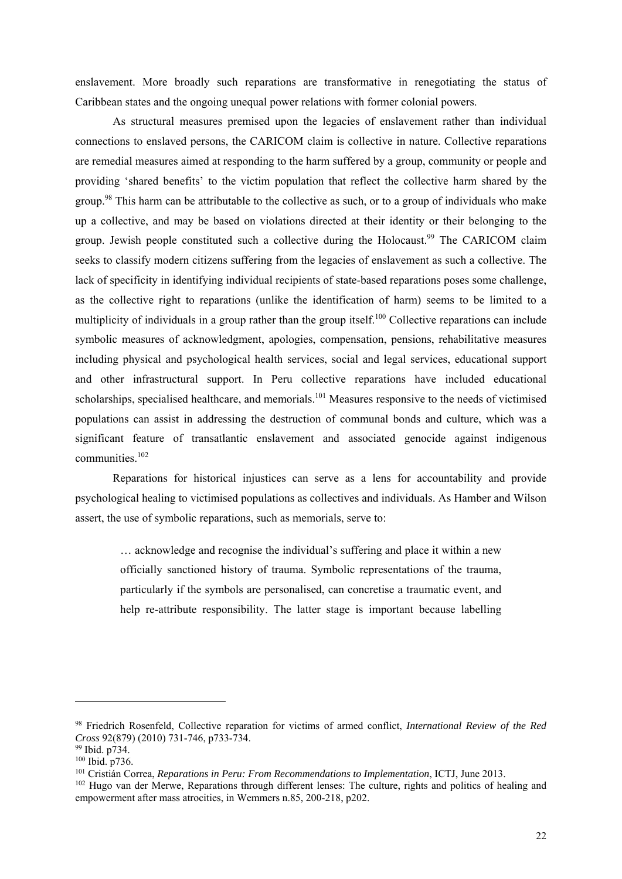enslavement. More broadly such reparations are transformative in renegotiating the status of Caribbean states and the ongoing unequal power relations with former colonial powers.

As structural measures premised upon the legacies of enslavement rather than individual connections to enslaved persons, the CARICOM claim is collective in nature. Collective reparations are remedial measures aimed at responding to the harm suffered by a group, community or people and providing 'shared benefits' to the victim population that reflect the collective harm shared by the group.<sup>98</sup> This harm can be attributable to the collective as such, or to a group of individuals who make up a collective, and may be based on violations directed at their identity or their belonging to the group. Jewish people constituted such a collective during the Holocaust.<sup>99</sup> The CARICOM claim seeks to classify modern citizens suffering from the legacies of enslavement as such a collective. The lack of specificity in identifying individual recipients of state-based reparations poses some challenge, as the collective right to reparations (unlike the identification of harm) seems to be limited to a multiplicity of individuals in a group rather than the group itself.<sup>100</sup> Collective reparations can include symbolic measures of acknowledgment, apologies, compensation, pensions, rehabilitative measures including physical and psychological health services, social and legal services, educational support and other infrastructural support. In Peru collective reparations have included educational scholarships, specialised healthcare, and memorials.<sup>101</sup> Measures responsive to the needs of victimised populations can assist in addressing the destruction of communal bonds and culture, which was a significant feature of transatlantic enslavement and associated genocide against indigenous communities.<sup>102</sup>

Reparations for historical injustices can serve as a lens for accountability and provide psychological healing to victimised populations as collectives and individuals. As Hamber and Wilson assert, the use of symbolic reparations, such as memorials, serve to:

… acknowledge and recognise the individual's suffering and place it within a new officially sanctioned history of trauma. Symbolic representations of the trauma, particularly if the symbols are personalised, can concretise a traumatic event, and help re-attribute responsibility. The latter stage is important because labelling

<sup>98</sup> Friedrich Rosenfeld, Collective reparation for victims of armed conflict, *International Review of the Red Cross* 92(879) (2010) 731-746, p733-734.

<sup>99</sup> Ibid. p734.

<sup>100</sup> Ibid. p736.

<sup>101</sup> Cristián Correa, *Reparations in Peru: From Recommendations to Implementation*, ICTJ, June 2013.

<sup>102</sup> Hugo van der Merwe, Reparations through different lenses: The culture, rights and politics of healing and empowerment after mass atrocities, in Wemmers n.85, 200-218, p202.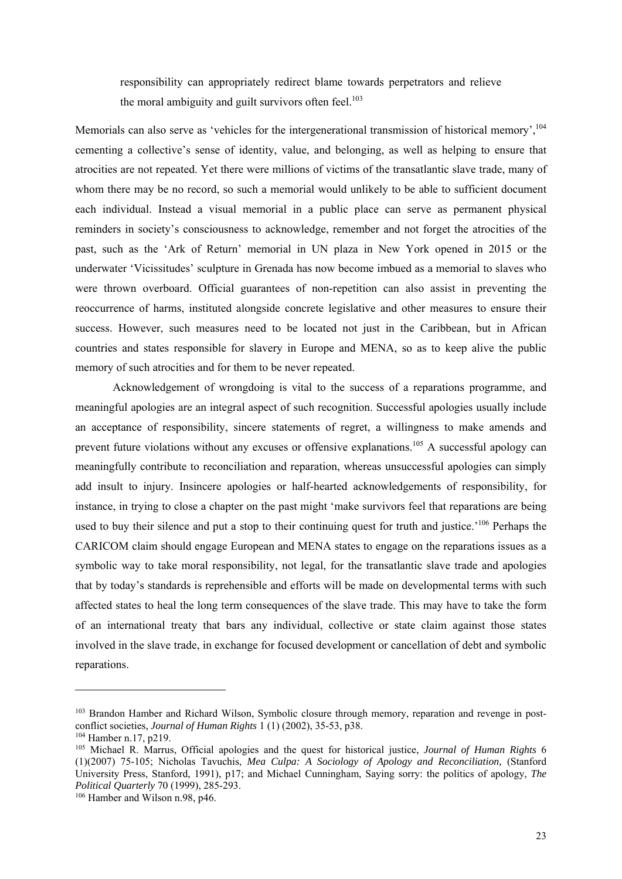responsibility can appropriately redirect blame towards perpetrators and relieve the moral ambiguity and guilt survivors often feel.<sup>103</sup>

Memorials can also serve as 'vehicles for the intergenerational transmission of historical memory',<sup>104</sup> cementing a collective's sense of identity, value, and belonging, as well as helping to ensure that atrocities are not repeated. Yet there were millions of victims of the transatlantic slave trade, many of whom there may be no record, so such a memorial would unlikely to be able to sufficient document each individual. Instead a visual memorial in a public place can serve as permanent physical reminders in society's consciousness to acknowledge, remember and not forget the atrocities of the past, such as the 'Ark of Return' memorial in UN plaza in New York opened in 2015 or the underwater 'Vicissitudes' sculpture in Grenada has now become imbued as a memorial to slaves who were thrown overboard. Official guarantees of non-repetition can also assist in preventing the reoccurrence of harms, instituted alongside concrete legislative and other measures to ensure their success. However, such measures need to be located not just in the Caribbean, but in African countries and states responsible for slavery in Europe and MENA, so as to keep alive the public memory of such atrocities and for them to be never repeated.

Acknowledgement of wrongdoing is vital to the success of a reparations programme, and meaningful apologies are an integral aspect of such recognition. Successful apologies usually include an acceptance of responsibility, sincere statements of regret, a willingness to make amends and prevent future violations without any excuses or offensive explanations.<sup>105</sup> A successful apology can meaningfully contribute to reconciliation and reparation, whereas unsuccessful apologies can simply add insult to injury. Insincere apologies or half-hearted acknowledgements of responsibility, for instance, in trying to close a chapter on the past might 'make survivors feel that reparations are being used to buy their silence and put a stop to their continuing quest for truth and justice.'<sup>106</sup> Perhaps the CARICOM claim should engage European and MENA states to engage on the reparations issues as a symbolic way to take moral responsibility, not legal, for the transatlantic slave trade and apologies that by today's standards is reprehensible and efforts will be made on developmental terms with such affected states to heal the long term consequences of the slave trade. This may have to take the form of an international treaty that bars any individual, collective or state claim against those states involved in the slave trade, in exchange for focused development or cancellation of debt and symbolic reparations.

<sup>&</sup>lt;sup>103</sup> Brandon Hamber and Richard Wilson, Symbolic closure through memory, reparation and revenge in postconflict societies, *Journal of Human Rights* 1 (1) (2002), 35-53, p38.

<sup>104</sup> Hamber n.17, p219.

<sup>105</sup> Michael R. Marrus, Official apologies and the quest for historical justice, *Journal of Human Rights* 6 (1)(2007) 75-105; Nicholas Tavuchis, *Mea Culpa: A Sociology of Apology and Reconciliation,* (Stanford University Press, Stanford, 1991), p17; and Michael Cunningham, Saying sorry: the politics of apology, *The Political Quarterly* 70 (1999), 285-293.

<sup>106</sup> Hamber and Wilson n.98, p46.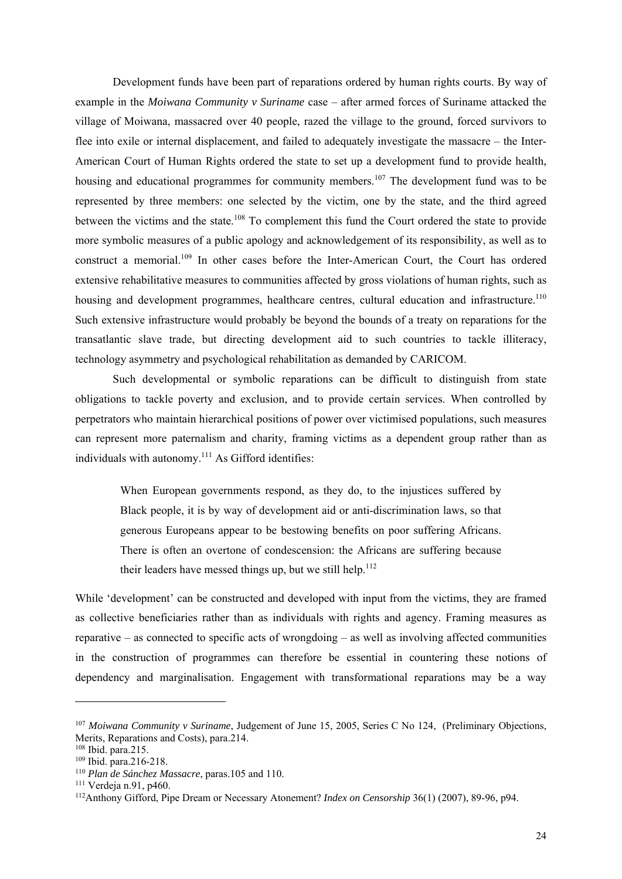Development funds have been part of reparations ordered by human rights courts. By way of example in the *Moiwana Community v Suriname* case – after armed forces of Suriname attacked the village of Moiwana, massacred over 40 people, razed the village to the ground, forced survivors to flee into exile or internal displacement, and failed to adequately investigate the massacre – the Inter-American Court of Human Rights ordered the state to set up a development fund to provide health, housing and educational programmes for community members.<sup>107</sup> The development fund was to be represented by three members: one selected by the victim, one by the state, and the third agreed between the victims and the state.<sup>108</sup> To complement this fund the Court ordered the state to provide more symbolic measures of a public apology and acknowledgement of its responsibility, as well as to construct a memorial.109 In other cases before the Inter-American Court, the Court has ordered extensive rehabilitative measures to communities affected by gross violations of human rights, such as housing and development programmes, healthcare centres, cultural education and infrastructure.<sup>110</sup> Such extensive infrastructure would probably be beyond the bounds of a treaty on reparations for the transatlantic slave trade, but directing development aid to such countries to tackle illiteracy, technology asymmetry and psychological rehabilitation as demanded by CARICOM.

Such developmental or symbolic reparations can be difficult to distinguish from state obligations to tackle poverty and exclusion, and to provide certain services. When controlled by perpetrators who maintain hierarchical positions of power over victimised populations, such measures can represent more paternalism and charity, framing victims as a dependent group rather than as individuals with autonomy.<sup>111</sup> As Gifford identifies:

When European governments respond, as they do, to the injustices suffered by Black people, it is by way of development aid or anti-discrimination laws, so that generous Europeans appear to be bestowing benefits on poor suffering Africans. There is often an overtone of condescension: the Africans are suffering because their leaders have messed things up, but we still help.<sup>112</sup>

While 'development' can be constructed and developed with input from the victims, they are framed as collective beneficiaries rather than as individuals with rights and agency. Framing measures as reparative – as connected to specific acts of wrongdoing – as well as involving affected communities in the construction of programmes can therefore be essential in countering these notions of dependency and marginalisation. Engagement with transformational reparations may be a way

<sup>107</sup> *Moiwana Community v Suriname*, Judgement of June 15, 2005, Series C No 124, (Preliminary Objections, Merits, Reparations and Costs), para.214.

<sup>108</sup> Ibid. para.215.

<sup>&</sup>lt;sup>109</sup> Ibid. para.216-218.<br><sup>110</sup> Plan de Sánchez Massacre, paras.105 and 110.

<sup>&</sup>lt;sup>111</sup> Verdeja n.91, p460.<br><sup>112</sup> Anthony Gifford, Pipe Dream or Necessary Atonement? *Index on Censorship* 36(1) (2007), 89-96, p94.